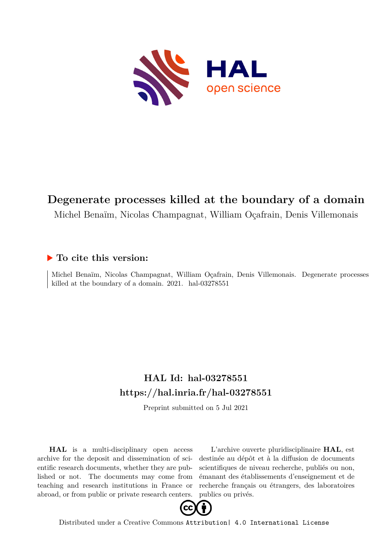

## **Degenerate processes killed at the boundary of a domain**

Michel Benaïm, Nicolas Champagnat, William Oçafrain, Denis Villemonais

### **To cite this version:**

Michel Benaïm, Nicolas Champagnat, William Oçafrain, Denis Villemonais. Degenerate processes killed at the boundary of a domain.  $2021.$  hal-03278551

# **HAL Id: hal-03278551 <https://hal.inria.fr/hal-03278551>**

Preprint submitted on 5 Jul 2021

**HAL** is a multi-disciplinary open access archive for the deposit and dissemination of scientific research documents, whether they are published or not. The documents may come from teaching and research institutions in France or abroad, or from public or private research centers.

L'archive ouverte pluridisciplinaire **HAL**, est destinée au dépôt et à la diffusion de documents scientifiques de niveau recherche, publiés ou non, émanant des établissements d'enseignement et de recherche français ou étrangers, des laboratoires publics ou privés.



Distributed under a Creative Commons [Attribution| 4.0 International License](http://creativecommons.org/licenses/by/4.0/)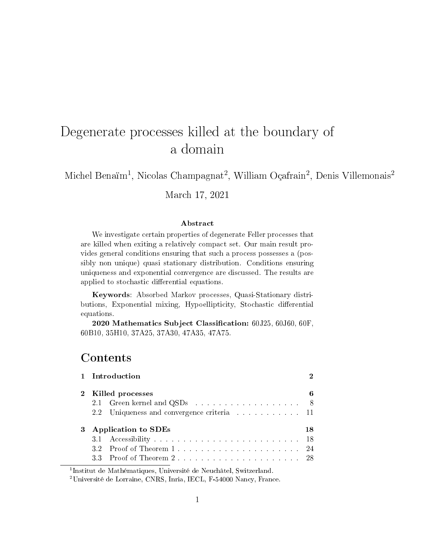# Degenerate processes killed at the boundary of a domain

Michel Benaïm<sup>1</sup>, Nicolas Champagnat<sup>2</sup>, William Oçafrain<sup>2</sup>, Denis Villemonais<sup>2</sup>

March 17, 2021

#### Abstract

We investigate certain properties of degenerate Feller processes that are killed when exiting a relatively compact set. Our main result provides general conditions ensuring that such a process possesses a (possibly non unique) quasi stationary distribution. Conditions ensuring uniqueness and exponential convergence are discussed. The results are applied to stochastic differential equations.

Keywords: Absorbed Markov processes, Quasi-Stationary distributions, Exponential mixing, Hypoellipticity, Stochastic differential equations.

2020 Mathematics Subject Classification: 60J25, 60J60, 60F, 60B10, 35H10, 37A25, 37A30, 47A35, 47A75.

### Contents

| 1 Introduction                                                      |    |
|---------------------------------------------------------------------|----|
| 2 Killed processes                                                  | 6  |
| 2.1 Green kernel and QSDs 8                                         |    |
| 2.2 Uniqueness and convergence criteria expansional state in the 11 |    |
| 3 Application to SDEs                                               | 18 |
|                                                                     |    |
|                                                                     |    |
|                                                                     |    |
|                                                                     |    |

<sup>1</sup>Institut de Mathématiques, Université de Neuchâtel, Switzerland.

<sup>2</sup>Université de Lorraine, CNRS, Inria, IECL, F-54000 Nancy, France.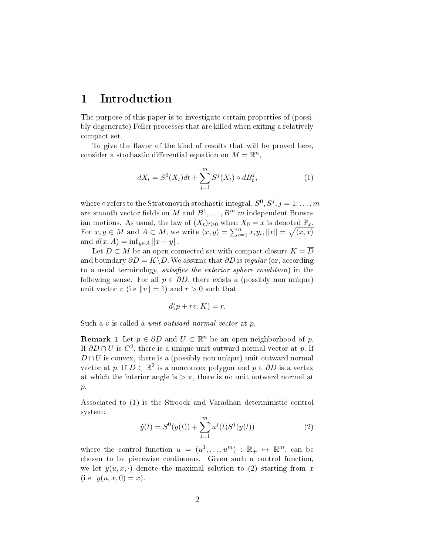### 1 Introduction

The purpose of this paper is to investigate certain properties of (possibly degenerate) Feller processes that are killed when exiting a relatively compact set.

To give the flavor of the kind of results that will be proved here, consider a stochastic differential equation on  $M = \mathbb{R}^n$ ,

$$
dX_t = S^0(X_t)dt + \sum_{j=1}^m S^j(X_t) \circ dB_t^j, \qquad (1)
$$

where  $\circ$  refers to the Stratonovich stochastic integral,  $S^0, S^j, j = 1, \ldots, m$ are smooth vector fields on  $M$  and  $B^1, \ldots, B^m$   $m$  independent Brownian motions. As usual, the law of  $(X_t)_{t>0}$  when  $X_0 = x$  is denoted  $\mathbb{P}_x$ *.* For  $x, y \in M$  and  $A \subset M$ , we write  $\langle x, y \rangle = \sum_{i=1}^{n} x_i y_i, ||x|| = \sqrt{\langle x, x \rangle}$ and  $d(x, A) = \inf_{y \in A} ||x - y||$ .

Let  $D \subset M$  be an open connected set with compact closure  $K = \overline{D}$ and boundary  $\partial D = K \ D$ . We assume that  $\partial D$  is *regular* (or, according to a usual terminology, *satisfies the exterior sphere condition*) in the following sense. For all  $p \in \partial D$ , there exists a (possibly non unique) unit vector *v* (i.e  $||v|| = 1$ ) and  $r > 0$  such that

$$
d(p+rv, K) = r.
$$

Such a *v* is called a unit outward normal vector at *p.*

**Remark 1** Let  $p \in \partial D$  and  $U \subset \mathbb{R}^n$  be an open neighborhood of p. If *∂D ∩ U* is *C* 2 *,* there is a unique unit outward normal vector at *p.* If  $D \cap U$  is convex, there is a (possibly non unique) unit outward normal vector at *p*. If  $D \subset \mathbb{R}^2$  is a nonconvex polygon and  $p \in \partial D$  is a vertex at which the interior angle is  $>\pi$ , there is no unit outward normal at *p.*

Associated to (1) is the Stroock and Varadhan deterministic control system:

$$
\dot{y}(t) = S^{0}(y(t)) + \sum_{j=1}^{m} u^{j}(t)S^{j}(y(t))
$$
\n(2)

where the control function  $u = (u^1, \ldots, u^m) : \mathbb{R}_+ \mapsto \mathbb{R}^m$ , can be chosen to be piecewise continuous. Given such a control function, we let  $y(u, x, \cdot)$  denote the maximal solution to (2) starting from x  $(i.e. y(u, x, 0) = x).$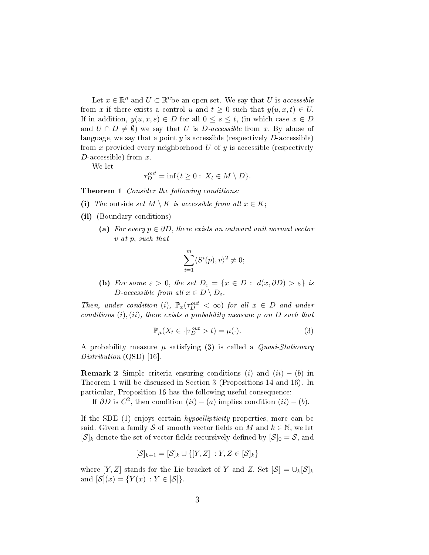Let  $x \in \mathbb{R}^n$  and  $U \subset \mathbb{R}^n$ be an open set. We say that *U* is accessible from *x* if there exists a control *u* and  $t \geq 0$  such that  $y(u, x, t) \in U$ . If in addition,  $y(u, x, s) \in D$  for all  $0 \leq s \leq t$ , (in which case  $x \in D$ and  $U \cap D \neq \emptyset$  we say that *U* is *D*-accessible from *x*. By abuse of language, we say that a point *y* is accessible (respectively *D*-accessible) from *x* provided every neighborhood *U* of *y* is accessible (respectively *D*-accessible) from *x.*

We let

$$
\tau_D^{out} = \inf\{t \ge 0 : \ X_t \in M \setminus D\}.
$$

Theorem 1 Consider the following conditions:

- (i) The outside set  $M \setminus K$  is accessible from all  $x \in K$ ;
- (ii) (Boundary conditions)
	- (a) For every  $p \in \partial D$ , there exists an outward unit normal vector *v* at *p,* such that

$$
\sum_{i=1}^{m} \langle S^i(p), v \rangle^2 \neq 0;
$$

(b) For some  $\varepsilon > 0$ , the set  $D_{\varepsilon} = \{x \in D : d(x, \partial D) > \varepsilon\}$  is *D*-accessible from all  $x \in D \setminus D_{\varepsilon}$ .

Then, under condition (*i*),  $\mathbb{P}_x(\tau_D^{out} < \infty)$  for all  $x \in D$  and under conditions  $(i)$ ,  $(ii)$ , there exists a probability measure  $\mu$  on  $D$  such that

$$
\mathbb{P}_{\mu}(X_t \in \cdot | \tau_D^{out} > t) = \mu(\cdot). \tag{3}
$$

A probability measure  $\mu$  satisfying (3) is called a *Quasi-Stationary* Distribution (QSD) [16].

**Remark 2** Simple criteria ensuring conditions (*i*) and  $(ii) - (b)$  in Theorem 1 will be discussed in Section 3 (Propositions 14 and 16). In particular, Proposition 16 has the following useful consequence:

If  $\partial D$  is  $C^2$ , then condition  $(ii) - (a)$  implies condition  $(ii) - (b)$ .

If the SDE (1) enjoys certain hypoellipticity properties, more can be said. Given a family *S* of smooth vector fields on *M* and  $k \in \mathbb{N}$ , we let  $[\mathcal{S}]_k$  denote the set of vector fields recursively defined by  $[\mathcal{S}]_0 = \mathcal{S}$ , and

$$
[\mathcal{S}]_{k+1} = [\mathcal{S}]_k \cup \{[Y, Z] : Y, Z \in [\mathcal{S}]_k\}
$$

where  $[Y, Z]$  stands for the Lie bracket of *Y* and *Z*. Set  $[S] = \bigcup_k [S]_k$ and  $[\mathcal{S}](x) = \{Y(x) : Y \in [\mathcal{S}]\}.$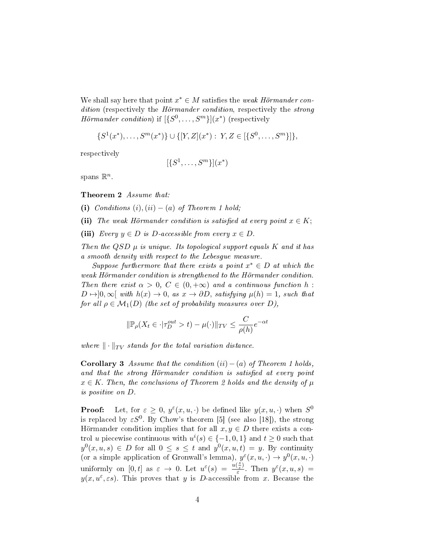We shall say here that point  $x^* \in M$  satisfies the weak Hörmander condition (respectively the *Hörmander condition*, respectively the *strong* Hörmander condition) if  $[\{S^0, \ldots, S^m\}](x^*)$  (respectively

$$
\{S^1(x^*),\ldots,S^m(x^*)\} \cup \{[Y,Z](x^*) : Y, Z \in [\{S^0,\ldots,S^m\}]\},\
$$

respectively

$$
[\{S^1,\ldots,S^m\}](x^*)
$$

spans  $\mathbb{R}^n$ .

Theorem 2 Assume that:

(i) Conditions  $(i)$ ,  $(ii) - (a)$  of Theorem 1 hold;

- (ii) The weak Hörmander condition is satisfied at every point  $x \in K$ ;
- (iii) Every  $y \in D$  is D-accessible from every  $x \in D$ .

Then the  $QSD \mu$  is unique. Its topological support equals  $K$  and it has a smooth density with respect to the Lebesgue measure.

Suppose furthermore that there exists a point  $x^* \in D$  at which the weak Hörmander condition is strengthened to the Hörmander condition. Then there exist  $\alpha > 0$ ,  $C \in (0, +\infty)$  and a continuous function h:  $D \mapsto ]0, \infty[$  with  $h(x) \to 0$ , as  $x \to \partial D$ , satisfying  $\mu(h) = 1$ , such that for all  $\rho \in \mathcal{M}_1(D)$  (the set of probability measures over *D*),

$$
\|\mathbb{P}_{\rho}(X_t \in \cdot | \tau_D^{out} > t) - \mu(\cdot)\|_{TV} \le \frac{C}{\rho(h)} e^{-\alpha t}
$$

where  $\|\cdot\|_{TV}$  stands for the total variation distance.

**Corollary 3** Assume that the condition  $(ii) - (a)$  of Theorem 1 holds, and that the strong Hörmander condition is satisfied at every point  $x \in K$ . Then, the conclusions of Theorem 2 holds and the density of  $\mu$ is positive on *D.*

**Proof:** Let, for  $\varepsilon \geq 0$ ,  $y^{\varepsilon}(x, u, \cdot)$  be defined like  $y(x, u, \cdot)$  when  $S^0$ is replaced by  $\varepsilon S^0$ . By Chow's theorem [5] (see also [18]), the strong Hörmander condition implies that for all  $x, y \in D$  there exists a control *u* piecewise continuous with  $u^{i}(s) \in \{-1,0,1\}$  and  $t \geq 0$  such that  $y^0(x, u, s) \in D$  for all  $0 \le s \le t$  and  $y^0(x, u, t) = y$ . By continuity (or a simple application of Gronwall's lemma),  $y^{\varepsilon}(x, u, \cdot) \to y^0(x, u, \cdot)$ uniformly on [0, t] as  $\varepsilon \to 0$ . Let  $u^{\varepsilon}(s) = \frac{u(\frac{s}{\varepsilon})}{\varepsilon}$  $\frac{z}{\varepsilon}$ . Then  $y^{\varepsilon}(x, u, s)$  =  $y(x, u^{\varepsilon}, \varepsilon s)$ . This proves that *y* is *D*-accessible from *x*. Because the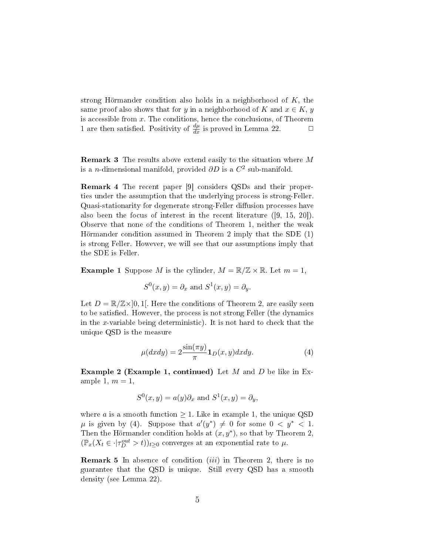strong Hörmander condition also holds in a neighborhood of *K,* the same proof also shows that for *y* in a neighborhood of *K* and  $x \in K$ , *y* is accessible from *x.* The conditions, hence the conclusions, of Theorem 1 are then satisfied. Positivity of  $\frac{d\mu}{dx}$  is proved in Lemma 22.  $\Box$ 

Remark 3 The results above extend easily to the situation where *M* is a *n*-dimensional manifold, provided *∂D* is a *C* 2 sub-manifold.

Remark 4 The recent paper [9] considers QSDs and their properties under the assumption that the underlying process is strong-Feller. Quasi-stationarity for degenerate strong-Feller diffusion processes have also been the focus of interest in the recent literature ([9, 15, 20]). Observe that none of the conditions of Theorem 1, neither the weak Hörmander condition assumed in Theorem 2 imply that the SDE (1) is strong Feller. However, we will see that our assumptions imply that the SDE is Feller.

**Example 1** Suppose *M* is the cylinder,  $M = \mathbb{R}/\mathbb{Z} \times \mathbb{R}$ . Let  $m = 1$ ,

$$
S^{0}(x, y) = \partial_{x} \text{ and } S^{1}(x, y) = \partial_{y}.
$$

Let  $D = \mathbb{R}/\mathbb{Z} \times ]0,1[$ . Here the conditions of Theorem 2, are easily seen to be satisfied. However, the process is not strong Feller (the dynamics in the *x*-variable being deterministic). It is not hard to check that the unique QSD is the measure

$$
\mu(dxdy) = 2\frac{\sin(\pi y)}{\pi} \mathbf{1}_D(x,y)dxdy.
$$
\n(4)

Example 2 (Example 1, continued) Let *M* and *D* be like in Example 1,  $m = 1$ ,

$$
S^{0}(x, y) = a(y)\partial_{x}
$$
 and  $S^{1}(x, y) = \partial_{y}$ ,

where *a* is a smooth function  $\geq 1$ . Like in example 1, the unique QSD  $\mu$  is given by (4). Suppose that  $a'(y^*) \neq 0$  for some  $0 < y^* < 1$ . Then the Hörmander condition holds at  $(x, y^*)$ , so that by Theorem 2,  $(\mathbb{P}_x(X_t \in \cdot | \tau_D^{out} > t))_{t \geq 0}$  converges at an exponential rate to  $\mu$ .

Remark 5 In absence of condition (*iii*) in Theorem 2, there is no guarantee that the QSD is unique. Still every QSD has a smooth density (see Lemma 22).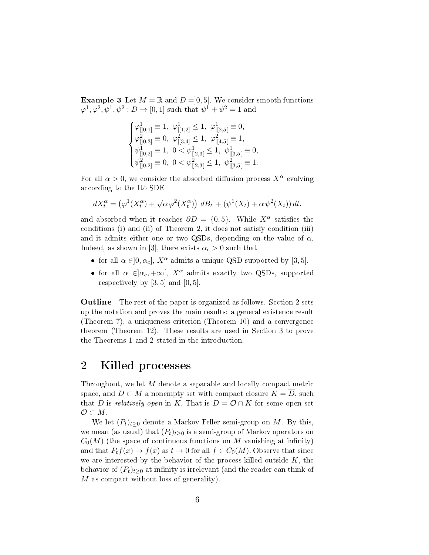**Example 3** Let  $M = \mathbb{R}$  and  $D = ]0, 5[$ . We consider smooth functions  $\varphi$ <sup>1</sup>,  $\varphi$ <sup>2</sup>,  $\psi$ <sup>1</sup>,  $\psi$ <sup>2</sup> : *D*  $\rightarrow$  [0, 1] such that  $\psi$ <sup>1</sup> +  $\psi$ <sup>2</sup> = 1 and

$$
\begin{cases} \varphi^1_{|]0,1]} \equiv 1, \ \varphi^1_{|[1,2]} \leq 1, \ \varphi^1_{|[2,5[} \equiv 0, \\ \varphi^2_{|]0,3]} \equiv 0, \ \varphi^2_{|[3,4]} \leq 1, \ \varphi^2_{|[4,5[} \equiv 1, \\ \psi^1_{|]0,2]} \equiv 1, \ 0 < \psi^1_{|]2,3[} \leq 1, \ \psi^1_{|[3,5[} \equiv 0, \\ \psi^2_{|]0,2]} \equiv 0, \ 0 < \psi^2_{|]2,3[} \leq 1, \ \psi^2_{|[3,5[} \equiv 1. \end{cases}
$$

For all  $\alpha > 0$ , we consider the absorbed diffusion process  $X^{\alpha}$  evolving according to the Itô SDE

$$
dX_t^{\alpha} = (\varphi^1(X_t^{\alpha}) + \sqrt{\alpha} \varphi^2(X_t^{\alpha})) dB_t + (\psi^1(X_t) + \alpha \psi^2(X_t)) dt.
$$

and absorbed when it reaches  $\partial D = \{0, 5\}$ . While  $X^{\alpha}$  satisfies the conditions (i) and (ii) of Theorem 2, it does not satisfy condition (iii) and it admits either one or two QSDs, depending on the value of *α*. Indeed, as shown in [3], there exists  $\alpha_c > 0$  such that

- for all  $\alpha \in ]0, \alpha_c]$ ,  $X^{\alpha}$  admits a unique QSD supported by [3, 5],
- for all  $\alpha \in ]\alpha_c, +\infty[$ ,  $X^{\alpha}$  admits exactly two QSDs, supported respectively by  $[3, 5]$  and  $[0, 5]$ .

**Outline** The rest of the paper is organized as follows. Section 2 sets up the notation and proves the main results: a general existence result (Theorem 7), a uniqueness criterion (Theorem 10) and a convergence theorem (Theorem 12). These results are used in Section 3 to prove the Theorems 1 and 2 stated in the introduction.

### 2 Killed processes

Throughout, we let *M* denote a separable and locally compact metric space, and  $D \subset M$  a nonempty set with compact closure  $K = D$ , such that *D* is relatively open in *K*. That is  $D = \mathcal{O} \cap K$  for some open set *O ⊂ M.*

We let  $(P_t)_{t>0}$  denote a Markov Feller semi-group on M. By this, we mean (as usual) that  $(P_t)_{t>0}$  is a semi-group of Markov operators on  $C_0(M)$  (the space of continuous functions on M vanishing at infinity) and that  $P_t f(x) \to f(x)$  as  $t \to 0$  for all  $f \in C_0(M)$ . Observe that since we are interested by the behavior of the process killed outside *K*, the behavior of  $(P_t)_{t\geq0}$  at infinity is irrelevant (and the reader can think of *M* as compact without loss of generality).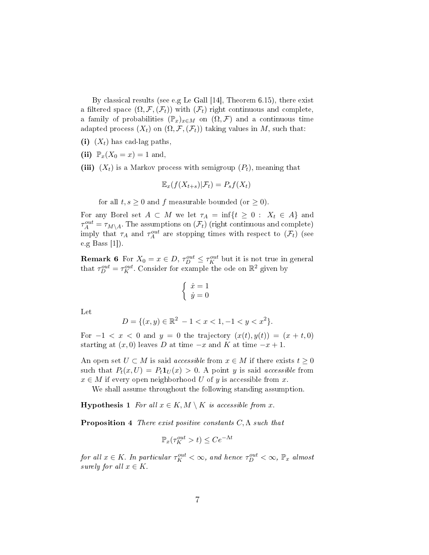By classical results (see e.g Le Gall [14], Theorem 6.15), there exist a filtered space  $(\Omega, \mathcal{F}, (\mathcal{F}_t))$  with  $(\mathcal{F}_t)$  right continuous and complete, a family of probabilities  $(\mathbb{P}_x)_{x \in M}$  on  $(\Omega, \mathcal{F})$  and a continuous time adapted process  $(X_t)$  on  $(\Omega, \mathcal{F}, (\mathcal{F}_t))$  taking values in M, such that:

- (i)  $(X_t)$  has cad-lag paths.
- (ii)  $\mathbb{P}_x(X_0 = x) = 1$  and,
- (iii)  $(X_t)$  is a Markov process with semigroup  $(P_t)$ , meaning that

$$
\mathbb{E}_x(f(X_{t+s})|\mathcal{F}_t) = P_s f(X_t)
$$

for all  $t, s \geq 0$  and  $f$  measurable bounded (or  $\geq 0$ ).

For any Borel set  $A \subset M$  we let  $\tau_A = \inf\{t \geq 0 : X_t \in A\}$  and  $\tau_A^{out} = \tau_{M \setminus A}$ . The assumptions on  $(\mathcal{F}_t)$  (right continuous and complete) imply that  $\tau_A$  and  $\tau_A^{out}$  are stopping times with respect to  $(\mathcal{F}_t)$  (see e.g Bass [1]).

**Remark 6** For  $X_0 = x \in D$ ,  $\tau_D^{out} \leq \tau_K^{out}$  but it is not true in general that  $\tau_D^{out} = \tau_K^{out}$ . Consider for example the ode on  $\mathbb{R}^2$  given by

$$
\begin{cases} \dot{x} = 1\\ \dot{y} = 0 \end{cases}
$$

Let

$$
D = \{(x, y) \in \mathbb{R}^2 - 1 < x < 1, -1 < y < x^2\}.
$$

For  $-1 < x < 0$  and  $y = 0$  the trajectory  $(x(t), y(t)) = (x + t, 0)$ starting at  $(x, 0)$  leaves *D* at time  $-x$  and *K* at time  $-x+1$ .

An open set  $U \subset M$  is said *accessible* from  $x \in M$  if there exists  $t \geq 0$ such that  $P_t(x, U) = P_t \mathbf{1}_U(x) > 0$ . A point *y* is said *accessible* from  $x \in M$  if every open neighborhood *U* of *y* is accessible from *x*.

We shall assume throughout the following standing assumption.

**Hypothesis 1** For all  $x \in K$ ,  $M \setminus K$  is accessible from  $x$ .

Proposition 4 There exist positive constants *C,*Λ such that

$$
\mathbb{P}_x(\tau_K^{out} > t) \le Ce^{-\Lambda t}
$$

 $for \ all \ x \in K.$  In particular  $\tau_K^{out} < \infty$ , and hence  $\tau_D^{out} < \infty$ ,  $\mathbb{P}_x$  almost surely for all  $x \in K$ .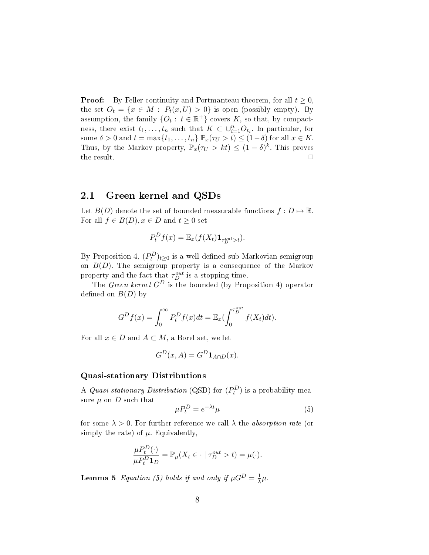**Proof:** By Feller continuity and Portmanteau theorem, for all  $t \geq 0$ , the set  $O_t = \{x \in M : P_t(x, U) > 0\}$  is open (possibly empty). By assumption, the family  $\{O_t: t \in \mathbb{R}^+\}$  covers *K*, so that, by compactness, there exist  $t_1, \ldots, t_n$  such that  $K \subset \bigcup_{i=1}^n O_{t_i}$ . In particular, for some  $\delta > 0$  and  $t = \max\{t_1, \ldots, t_n\} \mathbb{P}_x(\tau_U > t) \leq (1 - \delta)$  for all  $x \in K$ . Thus, by the Markov property,  $\mathbb{P}_x(\tau_U > kt) \leq (1 - \delta)^k$ . This proves the result.  $\Box$ 

#### 2.1 Green kernel and QSDs

Let  $B(D)$  denote the set of bounded measurable functions  $f: D \mapsto \mathbb{R}$ . For all  $f \in B(D)$ ,  $x \in D$  and  $t \geq 0$  set

$$
P_t^D f(x) = \mathbb{E}_x(f(X_t) \mathbf{1}_{\tau_D^{out} > t}).
$$

By Proposition 4,  $(P_t^D)_{t\geq 0}$  is a well defined sub-Markovian semigroup on  $B(D)$ . The semigroup property is a consequence of the Markov property and the fact that  $\tau_D^{out}$  is a stopping time.

The Green kernel *G<sup>D</sup>* is the bounded (by Proposition 4) operator defined on  $B(D)$  by

$$
G^D f(x) = \int_0^\infty P_t^D f(x) dt = \mathbb{E}_x \left( \int_0^{\tau_D^{out}} f(X_t) dt \right).
$$

For all  $x \in D$  and  $A \subset M$ , a Borel set, we let

$$
G^D(x, A) = G^D \mathbf{1}_{A \cap D}(x).
$$

#### Quasi-stationary Distributions

A *Quasi-stationary Distribution* (QSD) for  $(P_t^D)$  is a probability measure  $\mu$  on  $D$  such that

$$
\mu P_t^D = e^{-\lambda t} \mu \tag{5}
$$

for some  $\lambda > 0$ . For further reference we call  $\lambda$  the *absorption rate* (or simply the rate) of  $\mu$ . Equivalently,

$$
\frac{\mu P_t^D(\cdot)}{\mu P_t^D \mathbf{1}_D} = \mathbb{P}_{\mu}(X_t \in \cdot \mid \tau_D^{out} > t) = \mu(\cdot).
$$

**Lemma 5** Equation (5) holds if and only if  $\mu G^D = \frac{1}{\lambda}$  $\frac{1}{\lambda}\mu$ .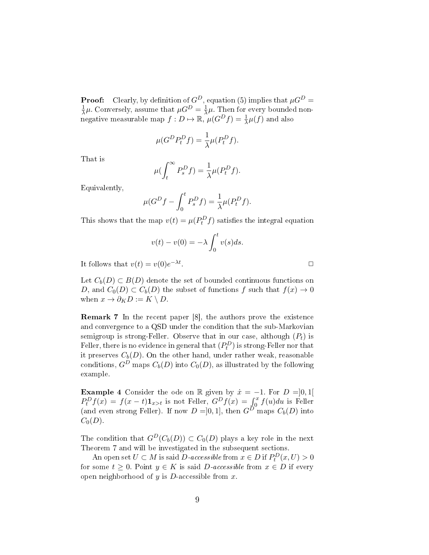**Proof:** Clearly, by definition of  $G^D$ , equation (5) implies that  $\mu G^D$  = 1  $\frac{1}{\lambda}\mu$ . Conversely, assume that  $\mu G^D = \frac{1}{\lambda}$  $\frac{1}{\lambda}\mu$ . Then for every bounded nonnegative measurable map  $f: D \mapsto \mathbb{R}, \mu(G^D f) = \frac{1}{\lambda} \mu(f)$  and also

$$
\mu(G^D P_t^D f) = \frac{1}{\lambda} \mu(P_t^D f).
$$

That is

$$
\mu(\int_t^{\infty} P_s^D f) = \frac{1}{\lambda} \mu(P_t^D f).
$$

Equivalently,

$$
\mu(G^Df - \int_0^t P_s^Df) = \frac{1}{\lambda}\mu(P_t^Df).
$$

This shows that the map  $v(t) = \mu(P_t^D f)$  satisfies the integral equation

$$
v(t) - v(0) = -\lambda \int_0^t v(s)ds.
$$

It follows that  $v(t) = v(0)e^{-\lambda t}$ 

Let  $C_b(D) \subset B(D)$  denote the set of bounded continuous functions on *D*, and  $C_0(D) \subset C_b(D)$  the subset of functions *f* such that  $f(x) \to 0$ when  $x \to \partial_K D := K \setminus D$ .

*. ✷*

Remark 7 In the recent paper [8], the authors prove the existence and convergence to a QSD under the condition that the sub-Markovian semigroup is strong-Feller. Observe that in our case, although  $(P_t)$  is Feller, there is no evidence in general that  $(P_t^D)$  is strong-Feller nor that it preserves  $C_b(D)$ . On the other hand, under rather weak, reasonable conditions,  $G^D$  maps  $C_b(D)$  into  $C_0(D)$ , as illustrated by the following example.

**Example 4** Consider the ode on R given by  $\dot{x} = -1$ . For  $D = ]0,1[$  $P_t^D f(x) = f(x-t) \mathbf{1}_{x>t}$  is not Feller,  $G^D f(x) = \int_0^x f(u) du$  is Feller (and even strong Feller). If now  $D = ]0,1]$ , then  $G^{D^{\sim}}$  maps  $C_b(D)$  into  $C_0(D)$ .

The condition that  $G^D(C_b(D)) \subset C_0(D)$  plays a key role in the next Theorem 7 and will be investigated in the subsequent sections.

An open set  $U \subset M$  is said  $D$ -accessible from  $x \in D$  if  $P_t^D(x,U) > 0$ for some  $t \geq 0$ . Point  $y \in K$  is said *D*-accessible from  $x \in D$  if every open neighborhood of *y* is *D*-accessible from *x.*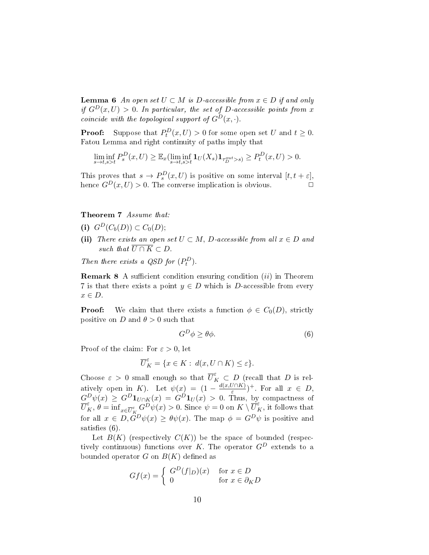**Lemma 6** An open set  $U ⊂ M$  is  $D$ -accessible from  $x ∈ D$  if and only if  $G^D(x, U) > 0$ . In particular, the set of *D*-accessible points from *x* coincide with the topological support of  $G^D(x, \cdot)$ .

**Proof:** Suppose that  $P_t^D(x, U) > 0$  for some open set *U* and  $t \ge 0$ *.* Fatou Lemma and right continuity of paths imply that

$$
\liminf_{s \to t, s > t} P_s^D(x, U) \geq \mathbb{E}_x(\liminf_{s \to t, s > t} \mathbf{1}_U(X_s) \mathbf{1}_{\tau_D^{out} > s}) \geq P_t^D(x, U) > 0.
$$

This proves that  $s \to P_s^D(x, U)$  is positive on some interval  $[t, t + \varepsilon]$ , hence  $G^D(x, U) > 0$ . The converse implication is obvious.

#### Theorem 7 Assume that:

- (i)  $G^D(C_b(D)) \subset C_0(D);$
- (ii) There exists an open set  $U \subset M$ , D-accessible from all  $x \in D$  and such that  $\overline{U \cap K} \subset D$ .

Then there exists a QSD for  $(P_t^D)$ .

**Remark 8** A sufficient condition ensuring condition *(ii)* in Theorem 7 is that there exists a point  $y \in D$  which is *D*-accessible from every *x ∈ D.*

**Proof:** We claim that there exists a function  $\phi \in C_0(D)$ , strictly positive on *D* and  $\theta > 0$  such that

$$
G^D \phi \ge \theta \phi. \tag{6}
$$

Proof of the claim: For  $\varepsilon > 0$ , let

$$
\overline{U}^{\varepsilon}_K=\{x\in K:\ d(x,U\cap K)\leq \varepsilon\}.
$$

Choose  $\varepsilon > 0$  small enough so that  $\overline{U}_{K}^{\varepsilon} \subset D$  (recall that *D* is relatively open in *K*). Let  $\psi(x) = (1 - \frac{d(x, U \cap K)}{\varepsilon})$  $(\frac{J \cap K}{\varepsilon})^+$ . For all  $x \in D$ ,  $G^D \psi(x) \ge G^D \mathbf{1}_{U \cap K}(x) = G^D \mathbf{1}_U(x) > 0$ . Thus, by compactness of  $\overline{U}_{K}^{\varepsilon}$ ,  $\theta = \inf_{x \in \overline{U}_{K}^{\varepsilon}} G^D \psi(x) > 0$ . Since  $\psi = 0$  on  $K \setminus \overline{U}_{K}^{\varepsilon}$ , it follows that for all  $x \in D$ ,  $G^D \psi(x) \ge \theta \psi(x)$ . The map  $\phi = G^D \psi$  is positive and satisfies  $(6)$ .

Let  $B(K)$  (respectively  $C(K)$ ) be the space of bounded (respectively continuous) functions over *K*. The operator  $G^D$  extends to a bounded operator  $G$  on  $B(K)$  defined as

$$
Gf(x) = \begin{cases} G^D(f|_D)(x) & \text{for } x \in D \\ 0 & \text{for } x \in \partial_K D \end{cases}
$$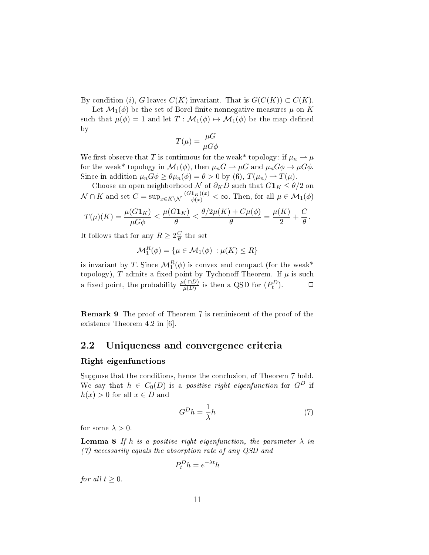By condition (*i*)*, G* leaves  $C(K)$  invariant. That is  $G(C(K)) \subset C(K)$ .

Let  $\mathcal{M}_1(\phi)$  be the set of Borel finite nonnegative measures  $\mu$  on K such that  $\mu(\phi) = 1$  and let  $T : \mathcal{M}_1(\phi) \mapsto \mathcal{M}_1(\phi)$  be the map defined by

$$
T(\mu) = \frac{\mu G}{\mu G \phi}
$$

We first observe that *T* is continuous for the weak\* topology: if  $\mu_n \to \mu$ for the weak\* topology in  $\mathcal{M}_1(\phi)$ , then  $\mu_n G \to \mu G$  and  $\mu_n G \phi \to \mu G \phi$ . Since in addition  $\mu_n G \phi \geq \theta \mu_n(\phi) = \theta > 0$  by (6),  $T(\mu_n) \rightarrow T(\mu)$ .

Choose an open neighborhood  $\mathcal N$  of  $\partial_K D$  such that  $G\mathbf{1}_K \leq \theta/2$  on  $\mathcal{N} \cap K$  and set  $C = \sup_{x \in K \setminus \mathcal{N}} \frac{(G\mathbf{1}_K)(x)}{\phi(x)} < \infty$ . Then, for all  $\mu \in \mathcal{M}_1(\phi)$ 

$$
T(\mu)(K) = \frac{\mu(G\mathbf{1}_K)}{\mu G \phi} \le \frac{\mu(G\mathbf{1}_K)}{\theta} \le \frac{\theta/2\mu(K) + C\mu(\phi)}{\theta} = \frac{\mu(K)}{2} + \frac{C}{\theta}.
$$

It follows that for any  $R \geq 2\frac{C}{\theta}$ *θ* the set

$$
\mathcal{M}_1^R(\phi) = \{ \mu \in \mathcal{M}_1(\phi) : \mu(K) \le R \}
$$

is invariant by *T*. Since  $\mathcal{M}_1^R(\phi)$  is convex and compact (for the weak<sup>\*</sup> topology),  $T$  admits a fixed point by Tychonoff Theorem. If  $\mu$  is such a fixed point, the probability  $\frac{\mu(\cdot \cap D)}{\mu(D)}$  is then a QSD for  $(P_t^D)$ )*. ✷*

Remark 9 The proof of Theorem 7 is reminiscent of the proof of the existence Theorem 4.2 in [6].

#### 2.2 Uniqueness and convergence criteria

#### Right eigenfunctions

Suppose that the conditions, hence the conclusion, of Theorem 7 hold. We say that  $h \in C_0(D)$  is a *positive right eigenfunction* for  $G^D$  if  $h(x) > 0$  for all  $x \in D$  and

$$
G^D h = \frac{1}{\lambda} h \tag{7}
$$

for some  $\lambda > 0$ .

**Lemma 8** If *h* is a positive right eigenfunction, the parameter  $\lambda$  in (7) necessarily equals the absorption rate of any QSD and

$$
P_t^D h = e^{-\lambda t} h
$$

for all  $t \geq 0$ .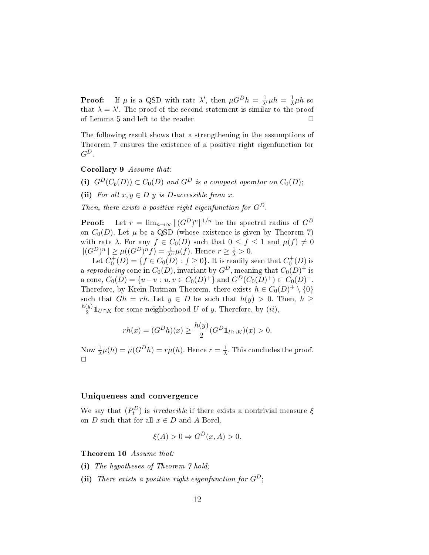**Proof:** If  $\mu$  is a QSD with rate  $\lambda'$ , then  $\mu G^D h = \frac{1}{\lambda'} \mu h = \frac{1}{\lambda}$  $\frac{1}{\lambda}$ μ*h* so that  $\lambda = \lambda'$ . The proof of the second statement is similar to the proof of Lemma 5 and left to the reader.  $\Box$ 

The following result shows that a strengthening in the assumptions of Theorem 7 ensures the existence of a positive right eigenfunction for  $G^D$ .

Corollary 9 Assume that:

(i)  $G^D(C_b(D)) \subset C_0(D)$  and  $G^D$  is a compact operator on  $C_0(D)$ ;

(ii) For all  $x, y \in D$  *y* is *D*-accessible from *x*.

Then, there exists a positive right eigenfunction for  $G^D$ .

**Proof:** Let  $r = \lim_{n \to \infty} ||(G^D)^n||^{1/n}$  be the spectral radius of  $G^D$ on  $C_0(D)$ . Let  $\mu$  be a QSD (whose existence is given by Theorem 7) with rate  $\lambda$ . For any  $f \in C_0(D)$  such that  $0 \leq f \leq 1$  and  $\mu(f) \neq 0$  $||(G^D)^n|| \ge \mu((G^D)^n f) = \frac{1}{\lambda^n} \mu(f)$ . Hence  $r \ge \frac{1}{\lambda} > 0$ .

Let  $C_0^+(D) = \{f \in C_0(D) : f \ge 0\}$ . It is readily seen that  $C_0^+(D)$  is a reproducing cone in  $C_0(D)$ , invariant by  $G^D$ , meaning that  $C_0(D)^+$  is a cone,  $C_0(D) = \{u - v : u, v \in C_0(D)^+\}$  and  $G^D(C_0(D)^+) \subset C_0(D)^+$ . Therefore, by Krein Rutman Theorem, there exists  $h \in C_0(D)^+ \setminus \{0\}$ such that  $Gh = rh$ . Let  $y \in D$  be such that  $h(y) > 0$ . Then,  $h \ge$ *h*(*y*)  $\frac{20}{2}$ **1***U*∩*K* for some neighborhood *U* of *y*. Therefore, by (*ii*),

$$
rh(x) = (G^D h)(x) \ge \frac{h(y)}{2} (G^D \mathbf{1}_{U \cap K})(x) > 0.
$$

Now  $\frac{1}{\lambda}\mu(h) = \mu(G^D h) = r\mu(h)$ . Hence  $r = \frac{1}{\lambda}$  $\frac{1}{\lambda}$ . This concludes the proof.  $\Box$ 

#### Uniqueness and convergence

We say that  $(P_t^D)$  is *irreducible* if there exists a nontrivial measure  $\xi$ on *D* such that for all  $x \in D$  and *A* Borel,

$$
\xi(A) > 0 \Rightarrow G^D(x, A) > 0.
$$

Theorem 10 Assume that:

- (i) The hypotheses of Theorem 7 hold;
- (ii) There exists a positive right eigenfunction for  $G^D$ ;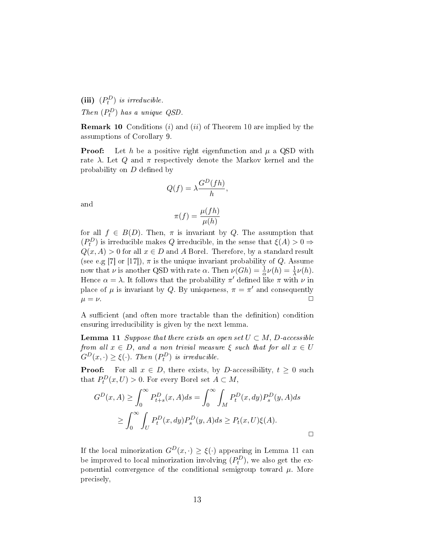(iii)  $(P_t^D)$  *is irreducible.* Then  $(P_t^D)$  has a unique QSD.

Remark 10 Conditions (*i*) and (*ii*) of Theorem 10 are implied by the assumptions of Corollary 9.

**Proof:** Let h be a positive right eigenfunction and  $\mu$  a QSD with rate  $\lambda$ . Let  $Q$  and  $\pi$  respectively denote the Markov kernel and the probability on *D* defined by

$$
Q(f) = \lambda \frac{G^D(fh)}{h},
$$

and

$$
\pi(f) = \frac{\mu(fh)}{\mu(h)}
$$

for all  $f \in B(D)$ . Then,  $\pi$  is invariant by *Q*. The assumption that  $(P_t^D)$  is irreducible makes  $Q$  irreducible, in the sense that  $\xi(A) > 0 \Rightarrow$  $Q(x, A) > 0$  for all  $x \in D$  and *A* Borel. Therefore, by a standard result (see e.g [7] or [17]),  $\pi$  is the unique invariant probability of *Q*. Assume now that *ν* is another QSD with rate *α*. Then  $\nu(Gh) = \frac{1}{\alpha}\nu(h) = \frac{1}{\lambda}\nu(h)$ . Hence  $\alpha = \lambda$ . It follows that the probability  $\pi'$  defined like  $\pi$  with  $\nu$  in place of  $\mu$  is invariant by *Q*. By uniqueness,  $\pi = \pi'$  and consequently  $\mu = \nu.$ 

A sufficient (and often more tractable than the definition) condition ensuring irreducibility is given by the next lemma.

**Lemma 11** Suppose that there exists an open set  $U \subset M$ , D-accessible from all  $x \in D$ , and a non trivial measure  $\xi$  such that for all  $x \in U$  $G^D(x, \cdot) \geq \xi(\cdot)$ *. Then*  $(P_t^D)$  *is irreducible.* 

**Proof:** For all  $x \in D$ , there exists, by *D*-accessibility,  $t \geq 0$  such that  $P_t^D(x, U) > 0$ . For every Borel set  $A \subset M$ ,

$$
G^{D}(x, A) \ge \int_0^{\infty} P_{t+s}^{D}(x, A)ds = \int_0^{\infty} \int_M P_t^{D}(x, dy) P_s^{D}(y, A)ds
$$
  
 
$$
\ge \int_0^{\infty} \int_U P_t^{D}(x, dy) P_s^{D}(y, A)ds \ge P_t(x, U)\xi(A).
$$

If the local minorization  $G^D(x, \cdot) \geq \xi(\cdot)$  appearing in Lemma 11 can be improved to local minorization involving  $(P_t^D)$ , we also get the exponential convergence of the conditional semigroup toward  $\mu$ . More precisely,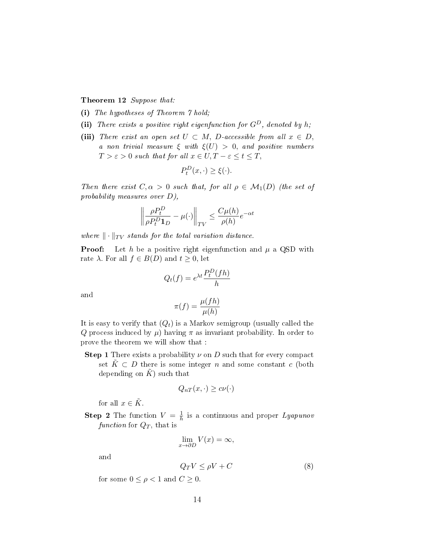#### Theorem 12 Suppose that:

- (i) The hypotheses of Theorem 7 hold;
- (ii) There exists a positive right eigenfunction for  $G^D$ , denoted by *h*;
- (iii) There exist an open set  $U \subset M$ , D-accessible from all  $x \in D$ , a non trivial measure  $\xi$  with  $\xi(U) > 0$ , and positive numbers  $T > \varepsilon > 0$  such that for all  $x \in U, T - \varepsilon \leq t \leq T$ ,

$$
P_t^D(x, \cdot) \ge \xi(\cdot).
$$

Then there exist  $C, \alpha > 0$  such that, for all  $\rho \in \mathcal{M}_1(D)$  (the set of probability measures over *D*),

$$
\left\| \frac{\rho P_t^D}{\rho P_t^D \mathbf{1}_D} - \mu(\cdot) \right\|_{TV} \le \frac{C\mu(h)}{\rho(h)} e^{-\alpha t}
$$

where  $\|\cdot\|_{TV}$  stands for the total variation distance.

**Proof:** Let *h* be a positive right eigenfunction and  $\mu$  a QSD with rate  $\lambda$ . For all  $f \in B(D)$  and  $t \geq 0$ , let

$$
Q_t(f) = e^{\lambda t} \frac{P_t^D(fh)}{h}
$$

and

$$
\pi(f) = \frac{\mu(fh)}{\mu(h)}
$$

It is easy to verify that (*Qt*) is a Markov semigroup (usually called the *Q* process induced by  $\mu$ ) having  $\pi$  as invariant probability. In order to prove the theorem we will show that :

**Step 1** There exists a probability  $\nu$  on  $D$  such that for every compact set  $K \subset D$  there is some integer *n* and some constant *c* (both depending on  $K$ ) such that

$$
Q_{nT}(x,\cdot)\geq c\nu(\cdot)
$$

for all  $x \in \tilde{K}$ .

**Step 2** The function  $V = \frac{1}{h}$  $\frac{1}{h}$  is a continuous and proper  $Lyapunov$ function for  $Q_T$ , that is

$$
\lim_{x \to \partial D} V(x) = \infty,
$$

and

$$
Q_T V \le \rho V + C \tag{8}
$$

for some  $0 \leq \rho < 1$  and  $C \geq 0$ .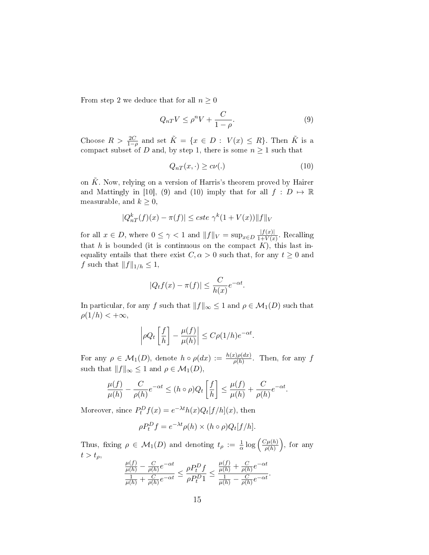From step 2 we deduce that for all  $n \geq 0$ 

$$
Q_{nT}V \le \rho^n V + \frac{C}{1-\rho}.\tag{9}
$$

Choose  $R > \frac{2C}{1-\rho}$  and set  $\tilde{K} = \{x \in D : V(x) \le R\}$ . Then  $\tilde{K}$  is a compact subset of *D* and, by step 1, there is some  $n \geq 1$  such that

$$
Q_{nT}(x,\cdot) \geq c\nu(.)
$$
\n(10)

on  $\tilde{K}$ . Now, relying on a version of Harris's theorem proved by Hairer and Mattingly in [10], (9) and (10) imply that for all  $f : D \mapsto \mathbb{R}$ measurable, and  $k \geq 0$ ,

$$
|Q_{nT}^{k}(f)(x) - \pi(f)| \leq cste \ \gamma^{k}(1 + V(x)) \|f\|_{V}
$$

for all  $x \in D$ , where  $0 \leq \gamma < 1$  and  $||f||_V = \sup_{x \in D} \frac{|f(x)|}{1 + V(x)}$  $\frac{|J(x)|}{1+V(x)}$ . Recalling that  $h$  is bounded (it is continuous on the compact  $K$ ), this last inequality entails that there exist  $C, \alpha > 0$  such that, for any  $t \geq 0$  and *f* such that  $||f||_{1/h}$  ≤ 1,

$$
|Q_t f(x) - \pi(f)| \le \frac{C}{h(x)} e^{-\alpha t}.
$$

In particular, for any *f* such that  $||f||_{\infty} \leq 1$  and  $\rho \in \mathcal{M}_1(D)$  such that  $\rho(1/h) < +\infty$ ,

$$
\left|\rho Q_t\left[\frac{f}{h}\right] - \frac{\mu(f)}{\mu(h)}\right| \le C\rho(1/h)e^{-\alpha t}.
$$

For any  $\rho \in \mathcal{M}_1(D)$ , denote  $h \circ \rho(dx) := \frac{h(x)\rho(dx)}{\rho(h)}$ . Then, for any f such that  $||f||_{\infty} \leq 1$  and  $\rho \in \mathcal{M}_1(D)$ ,

$$
\frac{\mu(f)}{\mu(h)} - \frac{C}{\rho(h)} e^{-\alpha t} \le (h \circ \rho) Q_t \left[ \frac{f}{h} \right] \le \frac{\mu(f)}{\mu(h)} + \frac{C}{\rho(h)} e^{-\alpha t}.
$$

Moreover, since  $P_t^D f(x) = e^{-\lambda t} h(x) Q_t[f/h](x)$ , then

$$
\rho P_t^D f = e^{-\lambda t} \rho(h) \times (h \circ \rho) Q_t[f/h].
$$

Thus, fixing  $\rho \in \mathcal{M}_1(D)$  and denoting  $t_\rho := \frac{1}{\alpha} \log \left( \frac{C\mu(h)}{\rho(h)} \right)$ *ρ*(*h*) ) , for any  $t > t_\rho$ 

$$
\frac{\frac{\mu(f)}{\mu(h)} - \frac{C}{\rho(h)}e^{-\alpha t}}{\frac{1}{\mu(h)} + \frac{C}{\rho(h)}e^{-\alpha t}} \leq \frac{\rho P_t^D f}{\rho P_t^D 1} \leq \frac{\frac{\mu(f)}{\mu(h)} + \frac{C}{\rho(h)}e^{-\alpha t}}{\frac{1}{\mu(h)} - \frac{C}{\rho(h)}e^{-\alpha t}}.
$$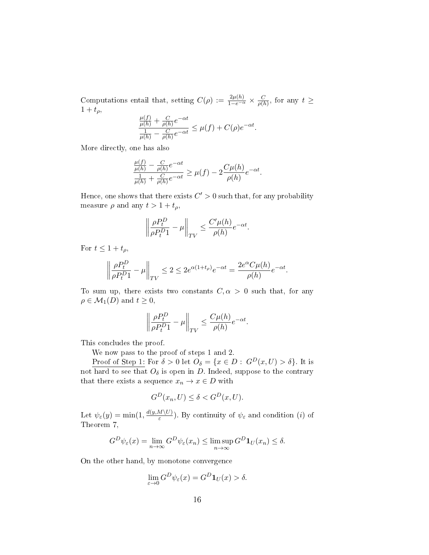Computations entail that, setting  $C(\rho) := \frac{2\mu(h)}{1-e^{-\alpha}} \times \frac{C}{\rho(h)}$  $\frac{C}{\rho(h)}$ , for any  $t \geq$  $1 + t_{\rho}$ ,

$$
\frac{\frac{\mu(f)}{\mu(h)} + \frac{C}{\rho(h)}e^{-\alpha t}}{\frac{1}{\mu(h)} - \frac{C}{\rho(h)}e^{-\alpha t}} \leq \mu(f) + C(\rho)e^{-\alpha t}.
$$

More directly, one has also

$$
\frac{\frac{\mu(f)}{\mu(h)} - \frac{C}{\rho(h)}e^{-\alpha t}}{\frac{1}{\mu(h)} + \frac{C}{\rho(h)}e^{-\alpha t}} \ge \mu(f) - 2\frac{C\mu(h)}{\rho(h)}e^{-\alpha t}.
$$

Hence, one shows that there exists  $C' > 0$  such that, for any probability measure  $\rho$  and any  $t > 1 + t_{\rho}$ ,

$$
\left\|\frac{\rho P_t^D}{\rho P_t^D 1}-\mu\right\|_{TV}\leq \frac{C'\mu(h)}{\rho(h)}e^{-\alpha t}.
$$

For  $t \leq 1 + t_{\rho}$ ,

$$
\left\|\frac{\rho P_t^D}{\rho P_t^D 1} - \mu\right\|_{TV} \le 2 \le 2e^{\alpha(1+t_\rho)}e^{-\alpha t} = \frac{2e^{\alpha}C\mu(h)}{\rho(h)}e^{-\alpha t}.
$$

To sum up, there exists two constants  $C, \alpha > 0$  such that, for any  $\rho \in M_1(D)$  and  $t \geq 0$ ,

$$
\left\| \frac{\rho P_t^D}{\rho P_t^D 1} - \mu \right\|_{TV} \le \frac{C\mu(h)}{\rho(h)} e^{-\alpha t}.
$$

This concludes the proof.

We now pass to the proof of steps 1 and 2.

Proof of Step 1: For  $\delta > 0$  let  $O_{\delta} = \{x \in D : G^D(x, U) > \delta\}$ . It is not hard to see that  $O_\delta$  is open in *D*. Indeed, suppose to the contrary that there exists a sequence  $x_n \to x \in D$  with

$$
G^D(x_n, U) \le \delta < G^D(x, U).
$$

Let  $\psi_{\varepsilon}(y) = \min(1, \frac{d(y, M \setminus U)}{\varepsilon})$  $(\frac{W(V)}{\varepsilon})$ . By continuity of  $\psi_{\varepsilon}$  and condition *(i)* of Theorem 7,

$$
G^D \psi_{\varepsilon}(x) = \lim_{n \to \infty} G^D \psi_{\varepsilon}(x_n) \le \limsup_{n \to \infty} G^D \mathbf{1}_U(x_n) \le \delta.
$$

On the other hand, by monotone convergence

$$
\lim_{\varepsilon \to 0} G^D \psi_{\varepsilon}(x) = G^D \mathbf{1}_U(x) > \delta.
$$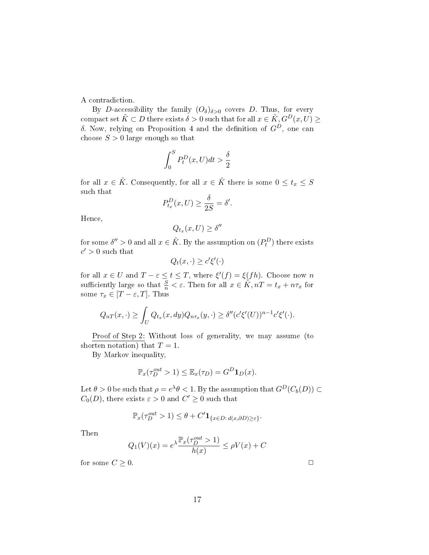A contradiction.

By *D*-accessibility the family  $(O_{\delta})_{\delta>0}$  covers *D*. Thus, for every compact set  $\tilde{K} \subset D$  there exists  $\delta > 0$  such that for all  $x \in \tilde{K}$ ,  $G^D(x, U) \ge$ *δ*. Now, relying on Proposition 4 and the definition of  $G^D$ , one can choose  $S > 0$  large enough so that

$$
\int_0^SP^D_t(x,U)dt>\frac{\delta}{2}
$$

for all  $x \in \tilde{K}$ . Consequently, for all  $x \in \tilde{K}$  there is some  $0 \le t_x \le S$ such that

$$
P_{t_x}^D(x, U) \ge \frac{\delta}{2S} = \delta'.
$$

Hence,

$$
Q_{t_x}(x,U)\geq \delta''
$$

for some  $\delta'' > 0$  and all  $x \in \tilde{K}$ . By the assumption on  $(P_t^D)$  there exists  $c' > 0$  such that

$$
Q_t(x,\cdot) \ge c'\xi'(\cdot)
$$

for all  $x \in U$  and  $T - \varepsilon \le t \le T$ , where  $\xi'(f) = \xi(fh)$ . Choose now *n* sufficiently large so that  $\frac{S}{n} < \varepsilon$ . Then for all  $x \in \widetilde{K}$ ,  $nT = t_x + n\tau_x$  for some  $\tau_x \in [T - \varepsilon, T]$ . Thus

$$
Q_{nT}(x,\cdot) \geq \int_U Q_{t_x}(x,dy)Q_{n\tau_x}(y,\cdot) \geq \delta''(c'\xi'(U))^{n-1}c'\xi'(\cdot).
$$

Proof of Step 2: Without loss of generality, we may assume (to shorten notation) that  $T = 1$ .

By Markov inequality,

$$
\mathbb{P}_x(\tau_D^{out} > 1) \le \mathbb{E}_x(\tau_D) = G^D \mathbf{1}_D(x).
$$

 $\mathcal{L} = \theta > 0$  be such that  $\rho = e^{\lambda} \theta < 1$ . By the assumption that  $G^D(C_b(D)) \subset \mathcal{L}$ *C*<sub>0</sub>(*D*)*,* there exists  $\varepsilon > 0$  and  $C' \ge 0$  such that

$$
\mathbb{P}_x(\tau_D^{out} > 1) \le \theta + C' \mathbf{1}_{\{x \in D : d(x, \partial D) \ge \varepsilon\}}.
$$

Then

$$
Q_1(V)(x) = e^{\lambda \frac{\mathbb{P}_x(\tau_D^{out} > 1)}{h(x)}} \le \rho V(x) + C
$$

for some  $C \geq 0$ .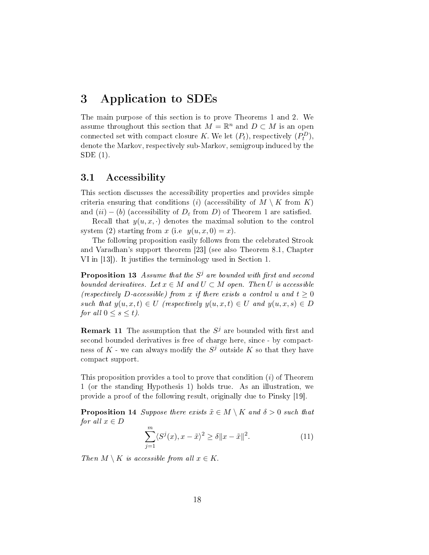### 3 Application to SDEs

The main purpose of this section is to prove Theorems 1 and 2. We assume throughout this section that  $M = \mathbb{R}^n$  and  $D \subset M$  is an open connected set with compact closure *K*. We let  $(P_t)$ , respectively  $(P_t^D)$ , denote the Markov, respectively sub-Markov, semigroup induced by the SDE (1).

#### 3.1 Accessibility

This section discusses the accessibility properties and provides simple criteria ensuring that conditions (*i*) (accessibility of  $M \setminus K$  from  $K$ ) and  $(ii) - (b)$  (accessibility of  $D_{\varepsilon}$  from *D*) of Theorem 1 are satisfied.

Recall that  $y(u, x, \cdot)$  denotes the maximal solution to the control system (2) starting from *x* (i.e  $y(u, x, 0) = x$ ).

The following proposition easily follows from the celebrated Strook and Varadhan's support theorem [23] (see also Theorem 8.1, Chapter VI in [13]). It justifies the terminology used in Section 1.

**Proposition 13** Assume that the  $S^j$  are bounded with first and second bounded derivatives. Let  $x \in M$  and  $U \subset M$  open. Then  $U$  is accessible (respectively D-accessible) from x if there exists a control *u* and  $t \geq 0$ such that  $y(u, x, t) \in U$  (respectively  $y(u, x, t) \in U$  and  $y(u, x, s) \in D$ for all  $0 \leq s \leq t$ ).

**Remark 11** The assumption that the  $S^j$  are bounded with first and second bounded derivatives is free of charge here, since - by compactness of  $K$  - we can always modify the  $S^j$  outside  $K$  so that they have compact support.

This proposition provides a tool to prove that condition (*i*) of Theorem 1 (or the standing Hypothesis 1) holds true. As an illustration, we provide a proof of the following result, originally due to Pinsky [19].

**Proposition 14** Suppose there exists  $\tilde{x} \in M \setminus K$  and  $\delta > 0$  such that *for all*  $x \in D$ 

$$
\sum_{j=1}^{m} \langle S^{j}(x), x - \tilde{x} \rangle^{2} \ge \delta \|x - \tilde{x}\|^{2}.
$$
 (11)

*Then*  $M \setminus K$  *is accessible from all*  $x \in K$ .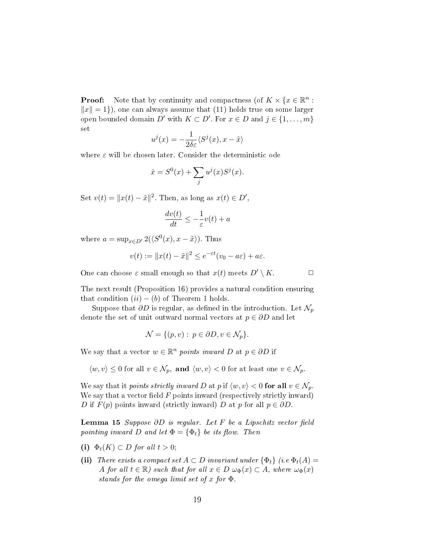**Proof:** Note that by continuity and compactness (of  $K \times \{x \in \mathbb{R}^n :$  $||x|| = 1$ }), one can always assume that (11) holds true on some larger open bounded domain  $D'$  with  $K \subset D'$ . For  $x \in D$  and  $j \in \{1, \ldots, m\}$ set

$$
u^{j}(x) = -\frac{1}{2\delta\varepsilon} \langle S^{j}(x), x - \tilde{x} \rangle
$$

where *ε* will be chosen later. Consider the deterministic ode

$$
\dot{x} = S^{0}(x) + \sum_{j} u^{j}(x)S^{j}(x).
$$

Set  $v(t) = ||x(t) - \tilde{x}||^2$ . Then, as long as  $x(t) \in D'$ ,

$$
\frac{dv(t)}{dt} \le -\frac{1}{\varepsilon}v(t) + a
$$

where  $a = \sup_{x \in D'} 2(\langle S^0(x), x - \tilde{x} \rangle)$ . Thus

$$
v(t) := \|x(t) - \tilde{x}\|^2 \le e^{-\varepsilon t} (v_0 - a\varepsilon) + a\varepsilon.
$$

One can choose  $\varepsilon$  small enough so that  $x(t)$  meets  $D' \setminus K$ .

The next result (Proposition 16) provides a natural condition ensuring that condition  $(ii) - (b)$  of Theorem 1 holds.

Suppose that  $\partial D$  is regular, as defined in the introduction. Let  $\mathcal{N}_p$ denote the set of unit outward normal vectors at  $p \in \partial D$  and let

$$
\mathcal{N} = \{ (p, v) : p \in \partial D, v \in \mathcal{N}_p \}.
$$

We say that a vector  $w \in \mathbb{R}^n$  points inward D at  $p \in \partial D$  if

 $\langle w, v \rangle \leq 0$  for all  $v \in \mathcal{N}_p$ , and  $\langle w, v \rangle < 0$  for at least one  $v \in \mathcal{N}_p$ .

We say that it *points strictly inward D* at *p* if  $\langle w, v \rangle < 0$  for all  $v \in \mathcal{N}_p$ . We say that a vector field  $F$  points inward (respectively strictly inward) *D* if  $F(p)$  points inward (strictly inward) *D* at *p* for all  $p \in \partial D$ .

**Lemma 15** Suppose  $\partial D$  is regular. Let F be a Lipschitz vector field pointing inward *D* and let  $\Phi = {\Phi_t}$  be its flow. Then

- (i)  $\Phi_t(K) \subset D$  for all  $t > 0$ ;
- (ii) There exists a compact set  $A \subset D$  invariant under  $\{\Phi_t\}$  (i.e.  $\Phi_t(A)$ ) *A* for all  $t \in \mathbb{R}$ ) such that for all  $x \in D$   $\omega_{\Phi}(x) \subset A$ , where  $\omega_{\Phi}(x)$ stands for the omega limit set of *x* for Φ*.*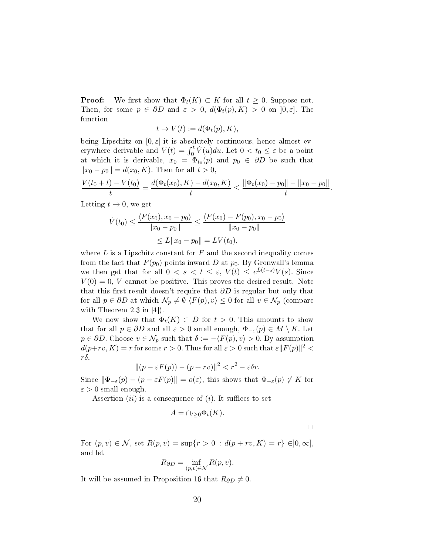**Proof:** We first show that  $\Phi_t(K) \subset K$  for all  $t \geq 0$ . Suppose not. Then, for some  $p \in \partial D$  and  $\varepsilon > 0$ ,  $d(\Phi_t(p), K) > 0$  on  $[0, \varepsilon]$ . The function

$$
t \to V(t) := d(\Phi_t(p), K),
$$

being Lipschitz on  $[0, \varepsilon]$  it is absolutely continuous, hence almost everywhere derivable and  $V(t) = \int_0^t \dot{V}(u) du$ . Let  $0 < t_0 \leq \varepsilon$  be a point at which it is derivable,  $x_0 = \Phi_{t_0}(p)$  and  $p_0 \in \partial D$  be such that *∥x*<sub>0</sub> − *p*<sub>0</sub> $\|$  = *d*(*x*<sub>0</sub>*, K*)*.* Then for all *t* > 0*,* 

$$
\frac{V(t_0+t)-V(t_0)}{t}=\frac{d(\Phi_t(x_0),K)-d(x_0,K)}{t}\leq \frac{\|\Phi_t(x_0)-p_0\|-\|x_0-p_0\|}{t}.
$$

Letting  $t \to 0$ , we get

$$
\dot{V}(t_0) \le \frac{\langle F(x_0), x_0 - p_0 \rangle}{\|x_0 - p_0\|} \le \frac{\langle F(x_0) - F(p_0), x_0 - p_0 \rangle}{\|x_0 - p_0\|}
$$
  

$$
\le L \|x_0 - p_0\| = LV(t_0),
$$

where  $L$  is a Lipschitz constant for  $F$  and the second inequality comes from the fact that  $F(p_0)$  points inward *D* at  $p_0$ . By Gronwall's lemma we then get that for all  $0 < s < t \le \varepsilon$ ,  $V(t) \le e^{L(t-s)}V(s)$ . Since  $V(0) = 0$ , *V* cannot be positive. This proves the desired result. Note that this first result doesn't require that  $\partial D$  is regular but only that for all  $p \in \partial D$  at which  $\mathcal{N}_p \neq \emptyset$   $\langle F(p), v \rangle \leq 0$  for all  $v \in \mathcal{N}_p$  (compare with Theorem 2.3 in [4]).

We now show that  $\Phi_t(K) \subset D$  for  $t > 0$ . This amounts to show that for all  $p \in \partial D$  and all  $\varepsilon > 0$  small enough,  $\Phi_{-\varepsilon}(p) \in M \setminus K$ . Let  $p \in \partial D$ . Choose  $v \in \mathcal{N}_p$  such that  $\delta := -\langle F(p), v \rangle > 0$ . By assumption  $d(p+rv, K) = r$  for some  $r > 0$ . Thus for all  $\varepsilon > 0$  such that  $\varepsilon ||F(p)||^2 <$ *rδ,*

$$
||(p - \varepsilon F(p)) - (p + rv)||^2 < r^2 - \varepsilon \delta r.
$$

Since  $|\Phi_{-\varepsilon}(p) - (p - \varepsilon F(p))| = o(\varepsilon)$ , this shows that  $\Phi_{-\varepsilon}(p) \notin K$  for  $\varepsilon > 0$  small enough.

Assertion  $(ii)$  is a consequence of  $(i)$ . It suffices to set

$$
A = \bigcap_{t \geq 0} \Phi_t(K).
$$

 $\Box$ 

For  $(p, v) \in \mathcal{N}$ , set  $R(p, v) = \sup\{r > 0 : d(p + rv, K) = r\} \in ]0, \infty]$ , and let

$$
R_{\partial D} = \inf_{(p,v)\in\mathcal{N}} R(p,v).
$$

It will be assumed in Proposition 16 that  $R_{\partial D} \neq 0$ .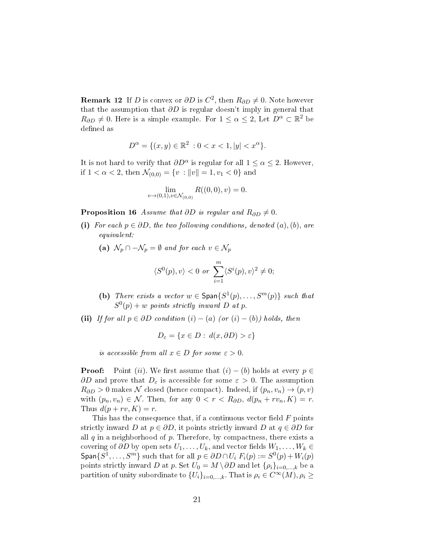**Remark 12** If *D* is convex or  $\partial D$  is  $C^2$ , then  $R_{\partial D} \neq 0$ . Note however that the assumption that *∂D* is regular doesn't imply in general that  $R_{\partial D} \neq 0$ . Here is a simple example. For  $1 \leq \alpha \leq 2$ , Let  $D^{\alpha} \subset \mathbb{R}^2$  be defined as

$$
D^{\alpha} = \{ (x, y) \in \mathbb{R}^2 : 0 < x < 1, |y| < x^{\alpha} \}.
$$

It is not hard to verify that  $\partial D^{\alpha}$  is regular for all  $1 \leq \alpha \leq 2$ . However, if  $1 < \alpha < 2$ , then  $\mathcal{N}_{(0,0)} = \{v : ||v|| = 1, v_1 < 0\}$  and

$$
\lim_{v \to (0,1), v \in \mathcal{N}_{(0,0)}} R((0,0), v) = 0.
$$

**Proposition 16** Assume that  $\partial D$  is regular and  $R_{\partial D} \neq 0$ .

- (i) For each  $p \in \partial D$ , the two following conditions, denoted  $(a)$ ,  $(b)$ , are equivalent:
	- (a)  $\mathcal{N}_p \cap -\mathcal{N}_p = \emptyset$  and for each  $v \in \mathcal{N}_p$

$$
\langle S^{0}(p), v \rangle < 0 \text{ or } \sum_{i=1}^{m} \langle S^{i}(p), v \rangle^{2} \neq 0;
$$

- (b) There exists a vector  $w \in \text{Span}\{S^1(p), \ldots, S^m(p)\}$  such that  $S^0(p) + w$  points strictly inward *D* at *p*.
- (ii) If for all  $p \in \partial D$  condition  $(i) (a)$  (or  $(i) (b)$ ) holds, then

$$
D_{\varepsilon} = \{ x \in D : d(x, \partial D) > \varepsilon \}
$$

is accessible from all  $x \in D$  for some  $\varepsilon > 0$ .

**Proof:** Point (*ii*). We first assume that  $(i) - (b)$  holds at every  $p \in$  $\partial D$  and prove that  $D_{\varepsilon}$  is accessible for some  $\varepsilon > 0$ . The assumption  $R_{\partial D}$  > 0 makes *N* closed (hence compact). Indeed, if  $(p_n, v_n) \rightarrow (p, v)$ with  $(p_n, v_n) \in \mathcal{N}$ . Then, for any  $0 < r < R_{\partial D}$ ,  $d(p_n + rv_n, K) = r$ . Thus  $d(p + rv, K) = r$ .

This has the consequence that, if a continuous vector field F points strictly inward *D* at  $p \in \partial D$ , it points strictly inward *D* at  $q \in \partial D$  for all *q* in a neighborhood of *p.* Therefore, by compactness, there exists a covering of  $\partial D$  by open sets  $U_1, \ldots, U_k$ , and vector fields  $W_1, \ldots, W_k \in$  $\textsf{Span}\{S^1,\ldots,S^m\}$  such that for all  $p \in \partial D \cap U_i$   $F_i(p) := S^0(p) + W_i(p)$ points strictly inward *D* at *p*. Set  $U_0 = M \setminus \partial D$  and let  $\{\rho_i\}_{i=0,\dots,k}$  be a partition of unity subordinate to  $\{U_i\}_{i=0,\dots,k}$ . That is  $\rho_i \in C^\infty(M)$ ,  $\rho_i \geq$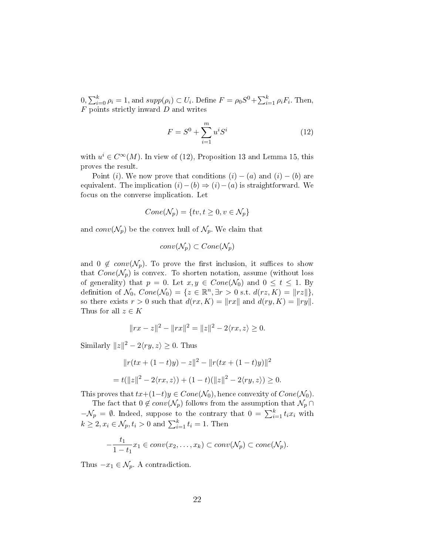$0, \sum_{i=0}^{k} \rho_i = 1$ , and  $supp(\rho_i) \subset U_i$ . Define  $F = \rho_0 S^0 + \sum_{i=1}^{k} \rho_i F_i$ . Then, *F* points strictly inward *D* and writes

$$
F = S^0 + \sum_{i=1}^{m} u^i S^i
$$
 (12)

with  $u^i \in C^{\infty}(M)$ . In view of (12), Proposition 13 and Lemma 15, this proves the result.

Point (*i*). We now prove that conditions  $(i) - (a)$  and  $(i) - (b)$  are equivalent. The implication  $(i) - (b) \Rightarrow (i) - (a)$  is straightforward. We focus on the converse implication. Let

$$
Cone(\mathcal{N}_p) = \{tv, t \ge 0, v \in \mathcal{N}_p\}
$$

and  $conv(N_p)$  be the convex hull of  $N_p$ . We claim that

$$
conv(\mathcal{N}_p) \subset Cone(\mathcal{N}_p)
$$

and  $0 \notin conv(\mathcal{N}_p)$ . To prove the first inclusion, it suffices to show that  $Cone(\mathcal{N}_p)$  is convex. To shorten notation, assume (without loss of generality) that  $p = 0$ . Let  $x, y \in Cone(\mathcal{N}_0)$  and  $0 \le t \le 1$ . By definition of  $\mathcal{N}_0$ ,  $Cone(\mathcal{N}_0) = \{z \in \mathbb{R}^n, \exists r > 0 \text{ s.t. } d(rz, K) = ||rz||\},\$ so there exists  $r > 0$  such that  $d(rx, K) = ||rx||$  and  $d(ry, K) = ||ry||$ . Thus for all  $z \in K$ 

$$
||rx - z||2 - ||rx||2 = ||z||2 - 2\langle rx, z \rangle \ge 0.
$$

Similarly  $||z||^2 - 2\langle ry, z \rangle \geq 0$ . Thus

$$
||r(tx + (1-t)y) - z||^2 - ||r(tx + (1-t)y)||^2
$$
  
=  $t(||z||^2 - 2\langle rx, z \rangle) + (1-t)(||z||^2 - 2\langle ry, z \rangle) \ge 0.$ 

This proves that  $tx+(1-t)y \in Cone(\mathcal{N}_0)$ , hence convexity of  $Cone(\mathcal{N}_0)$ .

The fact that  $0 \notin conv(\mathcal{N}_p)$  follows from the assumption that  $\mathcal{N}_p \cap$  $-\mathcal{N}_p = \emptyset$ . Indeed, suppose to the contrary that  $0 = \sum_{i=1}^k t_i x_i$  with  $k \geq 2, x_i \in \mathcal{N}_p, t_i > 0$  and  $\sum_{i=1}^k t_i = 1$ . Then

$$
-\frac{t_1}{1-t_1}x_1 \in conv(x_2,\ldots,x_k) \subset conv(\mathcal{N}_p) \subset cone(\mathcal{N}_p).
$$

Thus  $-x_1 \in \mathcal{N}_p$ . A contradiction.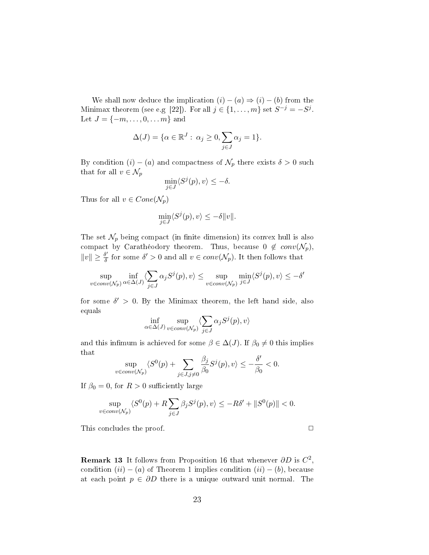We shall now deduce the implication  $(i) - (a) \Rightarrow (i) - (b)$  from the Minimax theorem (see e.g [22]). For all  $j \in \{1, \ldots, m\}$  set  $S^{-j} = -S^{j}$ . Let  $J = \{-m, \ldots, 0, \ldots, m\}$  and

$$
\Delta(J) = \{ \alpha \in \mathbb{R}^J : \alpha_j \ge 0, \sum_{j \in J} \alpha_j = 1 \}.
$$

By condition  $(i) - (a)$  and compactness of  $\mathcal{N}_p$  there exists  $\delta > 0$  such that for all  $v \in \mathcal{N}_p$ 

$$
\min_{j \in J} \langle S^j(p), v \rangle \le -\delta.
$$

Thus for all  $v \in Cone(\mathcal{N}_p)$ 

$$
\min_{j \in J} \langle S^j(p), v \rangle \le -\delta ||v||.
$$

The set  $\mathcal{N}_p$  being compact (in finite dimension) its convex hull is also compact by Carathéodory theorem. Thus, because  $0 \notin conv(N_p)$ ,  $||v|| \geq \frac{\delta'}{\delta}$  for some  $\delta' > 0$  and all  $v \in conv(\mathcal{N}_p)$ . It then follows that

$$
\sup_{v \in conv(N_p)} \inf_{\alpha \in \Delta(J)} \langle \sum_{j \in J} \alpha_j S^j(p), v \rangle \le \sup_{v \in conv(N_p)} \min_{j \in J} \langle S^j(p), v \rangle \le -\delta'
$$

for some  $\delta' > 0$ . By the Minimax theorem, the left hand side, also equals

$$
\inf_{\alpha \in \Delta(J)} \sup_{v \in conv(\mathcal{N}_p)} \langle \sum_{j \in J} \alpha_j S^j(p), v \rangle
$$

and this infimum is achieved for some  $\beta \in \Delta(J)$ . If  $\beta_0 \neq 0$  this implies that

$$
\sup_{v \in conv(N_p)} \langle S^0(p) + \sum_{j \in J, j \neq 0} \frac{\beta_j}{\beta_0} S^j(p), v \rangle \le -\frac{\delta'}{\beta_0} < 0.
$$

If  $\beta_0 = 0$ , for  $R > 0$  sufficiently large

$$
\sup_{v \in conv(N_p)} \langle S^0(p) + R \sum_{j \in J} \beta_j S^j(p), v \rangle \le -R\delta' + ||S^0(p)|| < 0.
$$

This concludes the proof. **□** 

**Remark 13** It follows from Proposition 16 that whenever  $\partial D$  is  $C^2$ , condition  $(ii) - (a)$  of Theorem 1 implies condition  $(ii) - (b)$ , because at each point *p ∈ ∂D* there is a unique outward unit normal. The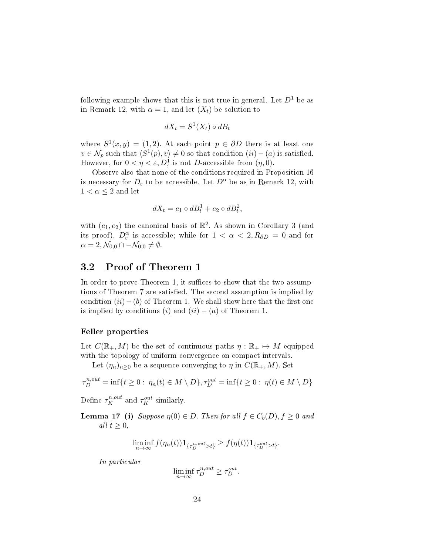following example shows that this is not true in general. Let  $D^1$  be as in Remark 12, with  $\alpha = 1$ , and let  $(X_t)$  be solution to

$$
dX_t = S^1(X_t) \circ dB_t
$$

where  $S^1(x, y) = (1, 2)$ . At each point  $p \in \partial D$  there is at least one  $v \in \mathcal{N}_p$  such that  $\langle S^1(p), v \rangle \neq 0$  so that condition  $(ii) - (a)$  is satisfied. However, for  $0 < \eta < \varepsilon$ ,  $D^1_{\varepsilon}$  is not *D*-accessible from  $(\eta, 0)$ .

Observe also that none of the conditions required in Proposition 16 is necessary for  $D_{\varepsilon}$  to be accessible. Let  $D^{\alpha}$  be as in Remark 12, with  $1 < \alpha \leq 2$  and let

$$
dX_t = e_1 \circ dB_t^1 + e_2 \circ dB_t^2,
$$

with  $(e_1, e_2)$  the canonical basis of  $\mathbb{R}^2$ . As shown in Corollary 3 (and its proof),  $D_{\varepsilon}^{\alpha}$  is accessible; while for  $1 < \alpha < 2, R_{\partial D} = 0$  and for  $\alpha = 2, \mathcal{N}_{0,0} \cap -\mathcal{N}_{0,0} \neq \emptyset.$ 

### 3.2 Proof of Theorem 1

In order to prove Theorem 1, it suffices to show that the two assumptions of Theorem 7 are satisfied. The second assumption is implied by condition  $(ii)$ −(*b*) of Theorem 1. We shall show here that the first one is implied by conditions  $(i)$  and  $(ii) - (a)$  of Theorem 1.

#### Feller properties

Let  $C(\mathbb{R}_+, M)$  be the set of continuous paths  $\eta : \mathbb{R}_+ \mapsto M$  equipped with the topology of uniform convergence on compact intervals.

Let  $(\eta_n)_{n\geq 0}$  be a sequence converging to  $\eta$  in  $C(\mathbb{R}_+, M)$ . Set

$$
\tau_D^{n,out} = \inf\{t \ge 0 : \eta_n(t) \in M \setminus D\}, \tau_D^{out} = \inf\{t \ge 0 : \eta(t) \in M \setminus D\}
$$

Define  $\tau_K^{n,out}$  and  $\tau_K^{out}$  similarly.

**Lemma 17** (i) Suppose  $η(0) ∈ D$ . Then for all  $f ∈ C_b(D)$ ,  $f ≥ 0$  and all  $t \geq 0$ ,

$$
\liminf_{n\to\infty} f(\eta_n(t))\mathbf{1}_{\{\tau_D^{n,out}>t\}} \ge f(\eta(t))\mathbf{1}_{\{\tau_D^{out}>t\}}.
$$

In particular

$$
\liminf_{n \to \infty} \tau_D^{n,out} \ge \tau_D^{out}.
$$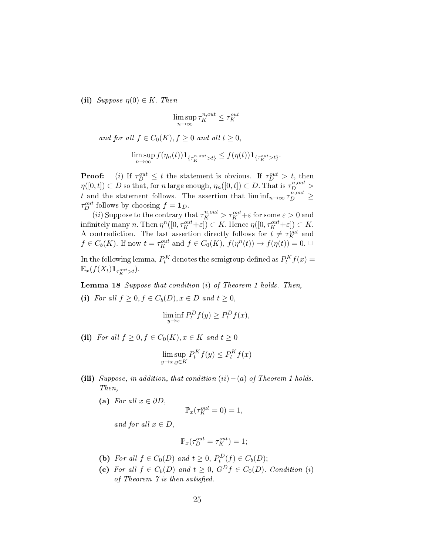(ii) *Suppose*  $\eta(0) \in K$ . Then

$$
\limsup_{n \to \infty} \tau_K^{n,out} \leq \tau_K^{out}
$$

and for all  $f \in C_0(K)$ ,  $f \geq 0$  and all  $t \geq 0$ ,

$$
\limsup_{n\to\infty} f(\eta_n(t))\mathbf{1}_{\{\tau_K^{n,out}>t\}} \leq f(\eta(t))\mathbf{1}_{\{\tau_K^{out}>t\}}.
$$

**Proof:** (*i*) If  $\tau_D^{out} \leq t$  the statement is obvious. If  $\tau_D^{out} > t$ , then  $\eta([0,t]) \subset D$  so that, for *n* large enough,  $\eta_n([0,t]) \subset D$ . That is  $\tau_D^{n,out}$ *t* and the statement follows. The assertion that  $\liminf_{n\to\infty} \tilde{\tau}_{D}^{n,out} \ge$  $\tau_D^{out}$  follows by choosing  $f = \mathbf{1}_D$ *.* 

(*ii*) Suppose to the contrary that  $\tau_K^{n,out} > \tau_K^{out} + \varepsilon$  for some  $\varepsilon > 0$  and  $\text{infinitely many } n. \text{ Then } \eta^n([0, \tau_K^{out} + \varepsilon]) \subset K. \text{ Hence } \eta([0, \tau_K^{out} + \varepsilon]) \subset K.$ A contradiction. The last assertion directly follows for  $t \neq \tau_K^{out}$  and  $f \in C_b(K)$ . If now  $t = \tau_K^{out}$  and  $f \in C_0(K)$ ,  $f(\eta^n(t)) \to f(\eta(t)) = 0$ .  $\Box$ 

In the following lemma,  $P_t^K$  denotes the semigroup defined as  $P_t^K f(x) =$  $\mathbb{E}_x(f(X_t)\mathbf{1}_{\tau_K^{out}>t}).$ 

Lemma 18 Suppose that condition (*i*) of Theorem 1 holds. Then,

(i) For all  $f \geq 0, f \in C_b(D), x \in D$  and  $t \geq 0$ ,

$$
\liminf_{y \to x} P_t^D f(y) \ge P_t^D f(x),
$$

(ii) For all  $f \geq 0, f \in C_0(K), x \in K$  and  $t \geq 0$ 

$$
\limsup_{y \to x, y \in K} P_t^K f(y) \le P_t^K f(x)
$$

- (iii) Suppose, in addition, that condition  $(ii) (a)$  of Theorem 1 holds. Then,
	- (a) For all  $x \in \partial D$ ,

$$
\mathbb{P}_x(\tau_K^{out}=0)=1,
$$

and for all  $x \in D$ ,

$$
\mathbb{P}_x(\tau_D^{out} = \tau_K^{out}) = 1;
$$

- (b) For all  $f \in C_0(D)$  and  $t \geq 0$ ,  $P_t^D(f) \in C_b(D)$ ;
- (c) For all  $f \in C_b(D)$  and  $t \geq 0$ ,  $G^D f \in C_0(D)$ *. Condition* (*i*) of Theorem  $\gamma$  is then satisfied.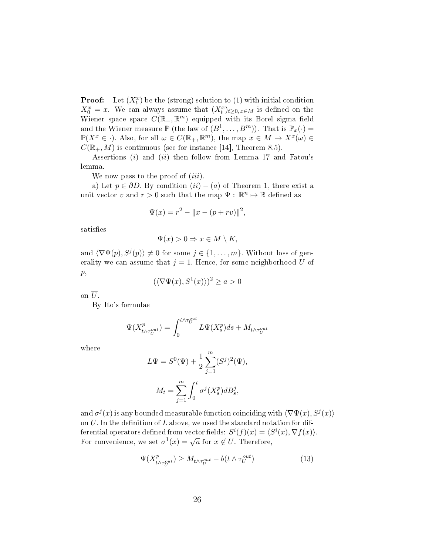**Proof:** Let  $(X_t^x)$  be the (strong) solution to (1) with initial condition  $X_0^x = x$ . We can always assume that  $(X_t^x)_{t\geq0, x\in M}$  is defined on the Wiener space space  $C(\mathbb{R}_+, \mathbb{R}^m)$  equipped with its Borel sigma field and the Wiener measure  $\mathbb{P}$  (the law of  $(B^1, \ldots, B^m)$ ). That is  $\mathbb{P}_x(\cdot) =$  $\mathbb{P}(X^x \in \cdot)$ *.* Also, for all  $\omega \in C(\mathbb{R}_+, \mathbb{R}^m)$ , the map  $x \in M \to X^x(\omega) \in$  $C(\mathbb{R}_+, M)$  is continuous (see for instance [14], Theorem 8.5).

Assertions (*i*) and (*ii*) then follow from Lemma 17 and Fatou's lemma.

We now pass to the proof of (*iii*)*.*

a) Let  $p \in \partial D$ . By condition  $(ii) - (a)$  of Theorem 1, there exist a unit vector *v* and  $r > 0$  such that the map  $\Psi : \mathbb{R}^n \mapsto \mathbb{R}$  defined as

$$
\Psi(x) = r^2 - ||x - (p + rv)||^2,
$$

satisfies

$$
\Psi(x) > 0 \Rightarrow x \in M \setminus K,
$$

and  $\langle \nabla \Psi(p), S^j(p) \rangle \neq 0$  for some  $j \in \{1, \ldots, m\}$ . Without loss of generality we can assume that  $j = 1$ . Hence, for some neighborhood U of *p,*

$$
(\langle \nabla \Psi(x), S^1(x) \rangle)^2 \ge a > 0
$$

on  $\overline{U}$ .

By Ito's formulae

$$
\Psi(X_{t\wedge\tau_U^{out}}^p)=\int_0^{t\wedge\tau_U^{out}}L\Psi(X_s^p)ds+M_{t\wedge\tau_U^{out}}
$$

where

$$
L\Psi = S^{0}(\Psi) + \frac{1}{2} \sum_{j=1}^{m} (S^{j})^{2}(\Psi),
$$
  

$$
M_{t} = \sum_{j=1}^{m} \int_{0}^{t} \sigma^{j}(X_{s}^{p}) dB_{s}^{j},
$$

and  $\sigma^{j}(x)$  is any bounded measurable function coinciding with  $\langle \nabla \Psi(x), S^{j}(x) \rangle$ on  $\overline{U}$ . In the definition of *L* above, we used the standard notation for differential operators defined from vector fields:  $S^{i}(f)(x) = \langle S^{i}(x), \nabla f(x) \rangle$ . For convenience, we set  $\sigma^1(x) = \sqrt{a}$  for  $x \notin \overline{U}$ . Therefore,

$$
\Psi(X_{t \wedge \tau_{U}^{out}}^{p}) \ge M_{t \wedge \tau_{U}^{out}} - b(t \wedge \tau_{U}^{out})
$$
\n(13)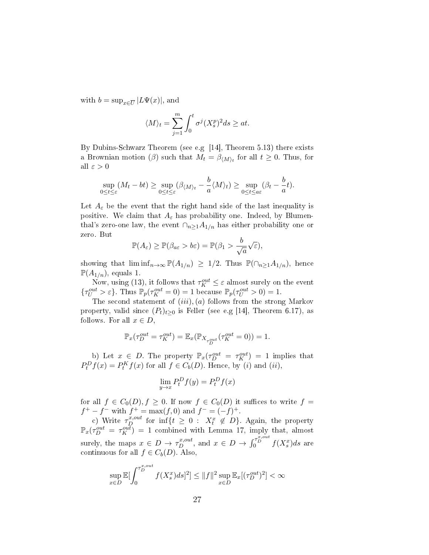with  $b = \sup_{x \in \overline{U}} |L\Psi(x)|$ , and

$$
\langle M \rangle_t = \sum_{j=1}^m \int_0^t \sigma^j (X_s^p)^2 ds \ge at.
$$

By Dubins-Schwarz Theorem (see e.g [14], Theorem 5.13) there exists a Brownian motion (*β*) such that  $M_t = \beta_{\langle M \rangle_t}$  for all  $t \geq 0$ . Thus, for all *ε >* 0

$$
\sup_{0\leq t\leq \varepsilon} (M_t - bt) \geq \sup_{0\leq t\leq \varepsilon} (\beta_{\langle M\rangle_t} - \frac{b}{a} \langle M\rangle_t) \geq \sup_{0\leq t\leq a\varepsilon} (\beta_t - \frac{b}{a}t).
$$

Let  $A_{\varepsilon}$  be the event that the right hand side of the last inequality is positive. We claim that  $A_{\varepsilon}$  has probability one. Indeed, by Blumenthal's zero-one law, the event  $\cap_{n\geq 1} A_{1/n}$  has either probability one or zero. But

$$
\mathbb{P}(A_{\varepsilon}) \geq \mathbb{P}(\beta_{a\varepsilon} > b\varepsilon) = \mathbb{P}(\beta_1 > \frac{b}{\sqrt{a}}\sqrt{\varepsilon}),
$$

showing that  $\liminf_{n\to\infty}$   $\mathbb{P}(A_{1/n}) \geq 1/2$ . Thus  $\mathbb{P}(\bigcap_{n\geq 1} A_{1/n})$ , hence  $\mathbb{P}(A_{1/n})$ , equals 1.

Now, using (13), it follows that  $\tau_K^{out} \leq \varepsilon$  almost surely on the event  $\{\tau_U^{out} > \varepsilon\}$ . Thus  $\mathbb{P}_p(\tau_K^{out} = 0) = 1$  because  $\mathbb{P}_p(\tau_U^{out} > 0) = 1$ .

The second statement of (*iii*)*,*(*a*) follows from the strong Markov property, valid since  $(P_t)_{t\geq 0}$  is Feller (see e.g [14], Theorem 6.17), as follows. For all  $x \in D$ ,

$$
\mathbb{P}_x(\tau_D^{out} = \tau_K^{out}) = \mathbb{E}_x(\mathbb{P}_{X_{\tau_D^{out}}}(\tau_K^{out}=0)) = 1.
$$

b) Let  $x \in D$ . The property  $\mathbb{P}_x(\tau_D^{out} = \tau_K^{out}) = 1$  implies that  $P_t^D f(x) = P_t^K f(x)$  for all  $f \in C_b(D)$ . Hence, by (*i*) and (*ii*)*,* 

$$
\lim_{y \to x} P_t^D f(y) = P_t^D f(x)
$$

for all  $f \in C_0(D)$ ,  $f \geq 0$ . If now  $f \in C_0(D)$  it suffices to write  $f =$  $f^+ - f^-$  with  $f^+ = \max(f, 0)$  and  $f^- = (-f)^+$ .

c) Write  $\tau_D^{x,out}$  for  $\inf\{t \geq 0 : X_t^x \notin D\}$ . Again, the property  $\mathbb{P}_x(\tau_D^{out} = \tau_K^{out}) = 1$  combined with Lemma 17, imply that, almost surely, the maps  $x \in D \to \tau_D^{x,out}$ , and  $x \in D \to \int_0^{\tau_D^{x,out}} f(X_s^x) ds$  are continuous for all  $f \in C_b(D)$ . Also,

$$
\sup_{x \in D} \mathbb{E}[\int_0^{\tau_D^{x,out}} f(X_s^x) ds]^2] \le \|f\|^2 \sup_{x \in D} \mathbb{E}_x[(\tau_D^{out})^2] < \infty
$$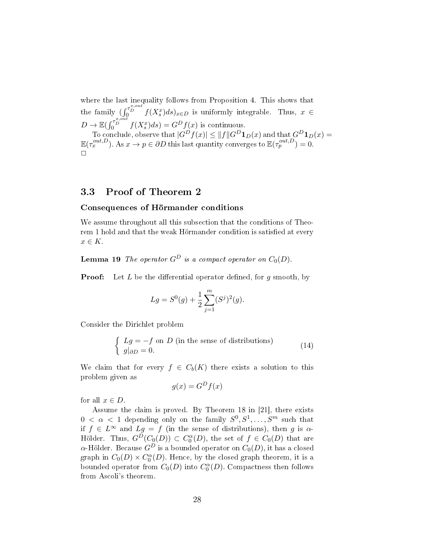where the last inequality follows from Proposition 4. This shows that the family  $(\int_0^{\tau_D^{x,out}} f(X_s^x) ds)_{x \in D}$  is uniformly integrable. Thus,  $x \in$  $D \to \mathbb{E}(\int_0^{\tau_D^{x,out}} f(X_s^x) ds) = G^D f(x)$  is continuous.  $\text{To conclude, observe that } |G^{D}f(x)| \leq \|f\|G^{D}\textbf{1}_{D}(x) \text{ and that } G^{D}\textbf{1}_{D}(x) = 0.$  $\mathbb{E}(\tau_x^{out,D})$ . As  $x \to p \in \partial D$  this last quantity converges to  $\mathbb{E}(\tau_p^{out,D}) = 0$ .  $\Box$ 

#### 3.3 Proof of Theorem 2

#### Consequences of Hörmander conditions

We assume throughout all this subsection that the conditions of Theorem 1 hold and that the weak Hörmander condition is satisfied at every *x ∈ K.*

**Lemma 19** The operator  $G^D$  is a compact operator on  $C_0(D)$ .

**Proof:** Let *L* be the differential operator defined, for *g* smooth, by

$$
Lg = S^{0}(g) + \frac{1}{2} \sum_{j=1}^{m} (S^{j})^{2}(g).
$$

Consider the Dirichlet problem

$$
\begin{cases}\nLg = -f \text{ on } D \text{ (in the sense of distributions)} \\
g|_{\partial D} = 0.\n\end{cases}
$$
\n(14)

We claim that for every  $f \in C_b(K)$  there exists a solution to this problem given as

$$
g(x) = G^D f(x)
$$

for all  $x \in D$ .

Assume the claim is proved. By Theorem 18 in [21], there exists  $0 < \alpha < 1$  depending only on the family  $S^0, S^1, \ldots, S^m$  such that if  $f \in L^{\infty}$  and  $Lg = f$  (in the sense of distributions), then *g* is  $\alpha$ -Hölder. Thus,  $G^D(C_0(D)) \subset C_0^{\alpha}(D)$ , the set of  $f \in C_0(D)$  that are *α*-Hölder. Because  $G^D$  is a bounded operator on  $C_0(D),$  it has a closed graph in  $C_0(D) \times C_0^{\alpha}(D)$ . Hence, by the closed graph theorem, it is a bounded operator from  $C_0(D)$  into  $C_0^{\alpha}(D)$ . Compactness then follows from Ascoli's theorem.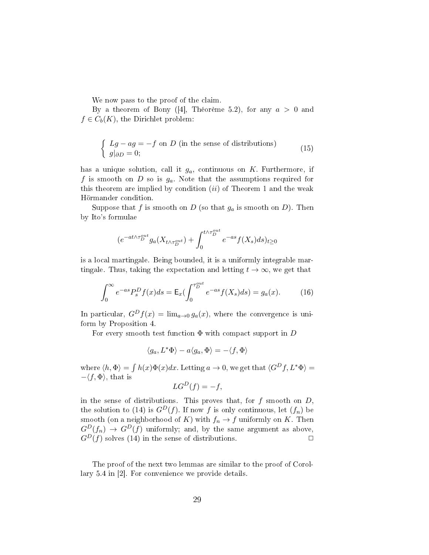We now pass to the proof of the claim.

By a theorem of Bony  $([4],$  Théorème 5.2), for any  $a > 0$  and  $f \in C_b(K)$ , the Dirichlet problem:

$$
\begin{cases}\nLg - ag = -f \text{ on } D \text{ (in the sense of distributions)} \\
g|_{\partial D} = 0;\n\end{cases}
$$
\n(15)

has a unique solution, call it *ga,* continuous on *K.* Furthermore, if *f* is smooth on *D* so is *ga.* Note that the assumptions required for this theorem are implied by condition (*ii*) of Theorem 1 and the weak Hörmander condition.

Suppose that  $f$  is smooth on  $D$  (so that  $g_a$  is smooth on  $D$ ). Then by Ito's formulae

$$
(e^{-at\wedge\tau_D^{out}}g_a(X_{t\wedge\tau_D^{out}})+\int_0^{t\wedge\tau_D^{out}}e^{-as}f(X_s)ds)_{t\geq 0}
$$

is a local martingale. Being bounded, it is a uniformly integrable martingale. Thus, taking the expectation and letting  $t \to \infty$ , we get that

$$
\int_0^{\infty} e^{-as} P_s^D f(x) ds = \mathsf{E}_x(\int_0^{\tau_D^{out}} e^{-as} f(X_s) ds) = g_a(x). \tag{16}
$$

In particular,  $G^D f(x) = \lim_{a\to 0} g_a(x)$ , where the convergence is uniform by Proposition 4.

For every smooth test function Φ with compact support in *D*

$$
\langle g_a, L^* \Phi \rangle - a \langle g_a, \Phi \rangle = - \langle f, \Phi \rangle
$$

where  $\langle h, \Phi \rangle = \int h(x) \Phi(x) dx$ . Letting  $a \to 0$ , we get that  $\langle G^D f, L^* \Phi \rangle =$ *−⟨f,* Φ*⟩*, that is

$$
LG^D(f) = -f,
$$

in the sense of distributions. This proves that, for *f* smooth on *D,* the solution to (14) is  $G^D(f)$ . If now *f* is only continuous, let  $(f_n)$  be smooth (on a neighborhood of *K*) with  $f_n \to f$  uniformly on *K*. Then  $G^D(f_n) \to G^D(f)$  uniformly; and, by the same argument as above,  $G^D(f)$  solves (14) in the sense of distributions.  $\Box$ 

The proof of the next two lemmas are similar to the proof of Corollary 5.4 in [2]. For convenience we provide details.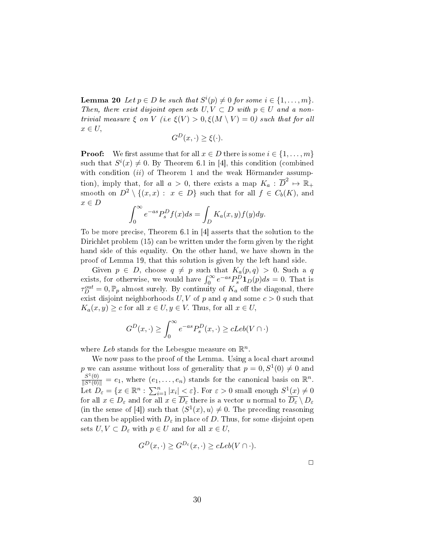Lemma 20 Let  $p \in D$  be such that  $S^i(p) \neq 0$  for some  $i \in \{1, \ldots, m\}$ . Then, there exist disjoint open sets  $U, V \subset D$  with  $p \in U$  and a nontrivial measure  $\xi$  on  $V$  (i.e.  $\xi(V) > 0$ ,  $\xi(M \setminus V) = 0$ ) such that for all *x ∈ U,*

$$
G^D(x, \cdot) \ge \xi(\cdot).
$$

**Proof:** We first assume that for all  $x \in D$  there is some  $i \in \{1, \ldots, m\}$ such that  $S^{i}(x) \neq 0$ . By Theorem 6.1 in [4], this condition (combined with condition *(ii)* of Theorem 1 and the weak Hörmander assumption), imply that, for all  $a > 0$ , there exists a map  $K_a : \overline{D}^2 \mapsto \mathbb{R}_+$ smooth on  $D^2 \setminus \{(x, x) : x \in D\}$  such that for all  $f \in C_b(K)$ , and *x ∈ D* ∫ *<sup>∞</sup>* ∫

$$
\int_0^\infty e^{-as} P_s^D f(x) ds = \int_D K_a(x, y) f(y) dy.
$$

To be more precise, Theorem 6.1 in [4] asserts that the solution to the Dirichlet problem (15) can be written under the form given by the right hand side of this equality. On the other hand, we have shown in the proof of Lemma 19, that this solution is given by the left hand side.

Given  $p \in D$ , choose  $q \neq p$  such that  $K_a(p,q) > 0$ . Such a *q* exists, for otherwise, we would have  $\int_0^\infty e^{-as} P_s^D \mathbf{1}_D(p) ds = 0$ . That is  $\tau_D^{out} = 0$ ,  $\mathbb{P}_p$  almost surely. By continuity of  $K_a$  off the diagonal, there exist disjoint neighborhoods  $U, V$  of  $p$  and  $q$  and some  $c > 0$  such that  $K_a(x, y) \geq c$  for all  $x \in U, y \in V$ . Thus, for all  $x \in U$ ,

$$
G^{D}(x,\cdot) \ge \int_0^\infty e^{-as} P_s^D(x,\cdot) \ge cLeb(V \cap \cdot)
$$

where *Leb* stands for the Lebesgue measure on  $\mathbb{R}^n$ .

We now pass to the proof of the Lemma. Using a local chart around p we can assume without loss of generality that  $p = 0, S^1(0) \neq 0$  and  $\frac{S^1(0)}{\|S^1(0)\|} = e_1$ , where  $(e_1, \ldots, e_n)$  stands for the canonical basis on  $\mathbb{R}^n$ . Let  $D_{\varepsilon} = \{x \in \mathbb{R}^n : \sum_{i=1}^n |x_i| \leq \varepsilon\}$ . For  $\varepsilon > 0$  small enough  $S^1(x) \neq 0$ for all  $x \in D_{\varepsilon}$  and for all  $x \in \overline{D_{\varepsilon}}$  there is a vector *u* normal to  $\overline{D_{\varepsilon}} \setminus D_{\varepsilon}$ (in the sense of [4]) such that  $\langle S^1(x), u \rangle \neq 0$ . The preceding reasoning can then be applied with  $D_{\varepsilon}$  in place of *D*. Thus, for some disjoint open sets  $U, V \subset D_{\varepsilon}$  with  $p \in U$  and for all  $x \in U$ ,

$$
G^D(x, \cdot) \ge G^{D_{\varepsilon}}(x, \cdot) \ge cLeb(V \cap \cdot).
$$

 $\Box$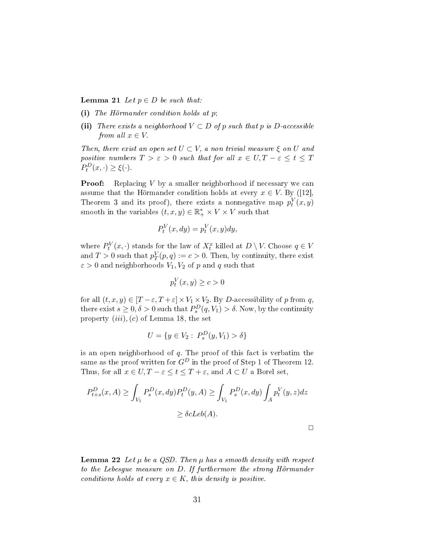**Lemma 21** Let  $p \in D$  be such that:

- (i) The Hörmander condition holds at *p*;
- (ii) There exists a neighborhood  $V \subset D$  of  $p$  such that  $p$  is  $D$ -accessible from all  $x \in V$ .

Then, there exist an open set  $U \subset V$ , a non trivial measure  $\xi$  on  $U$  and positive numbers  $T > \varepsilon > 0$  such that for all  $x \in U, T - \varepsilon \leq t \leq T$  $P_t^D(x, \cdot) \geq \xi(\cdot).$ 

**Proof:** Replacing *V* by a smaller neighborhood if necessary we can assume that the Hörmander condition holds at every  $x \in V$ . By ([12], Theorem 3 and its proof), there exists a nonnegative map  $p_t^V(x, y)$ smooth in the variables  $(t, x, y) \in \mathbb{R}_+^* \times V \times V$  such that

$$
P_t^V(x, dy) = p_t^V(x, y)dy,
$$

where  $P_t^V(x, \cdot)$  stands for the law of  $X_t^x$  killed at  $D \setminus V$ . Choose  $q \in V$ and  $T > 0$  such that  $p_T^V(p, q) := c > 0$ . Then, by continuity, there exist  $\varepsilon > 0$  and neighborhoods  $V_1, V_2$  of *p* and *q* such that

$$
p_t^V(x, y) \ge c > 0
$$

for all  $(t, x, y) \in [T - \varepsilon, T + \varepsilon] \times V_1 \times V_2$ . By *D*-accessibility of *p* from *q*, there exist  $s \geq 0, \delta > 0$  such that  $P_s^D(q, V_1) > \delta$ . Now, by the continuity property (*iii*)*,*(*c*) of Lemma 18, the set

$$
U = \{ y \in V_2 : P_s^D(y, V_1) > \delta \}
$$

is an open neighborhood of *q.* The proof of this fact is verbatim the same as the proof written for  $G^D$  in the proof of Step 1 of Theorem 12. Thus, for all  $x \in U, T - \varepsilon \le t \le T + \varepsilon$ , and  $A \subset U$  a Borel set,

$$
P_{t+s}^D(x, A) \ge \int_{V_1} P_s^D(x, dy) P_t^D(y, A) \ge \int_{V_1} P_s^D(x, dy) \int_A p_t^V(y, z) dz
$$
  

$$
\ge \delta cLeb(A).
$$

 $\Box$ 

**Lemma 22** Let  $\mu$  be a QSD. Then  $\mu$  has a smooth density with respect to the Lebesgue measure on *D.* If furthermore the strong Hörmander conditions holds at every  $x \in K$ , this density is positive.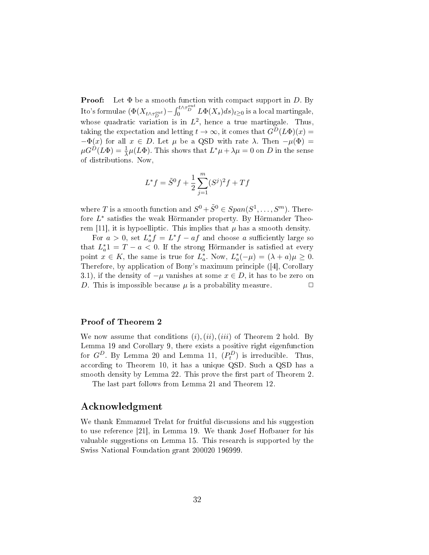Proof: Let Φ be a smooth function with compact support in *D.* By  $\int$ Ito's formulae  $(\Phi(X_{t \wedge \tau_D^{out}}) - \int_0^{t \wedge \tau_D^{out}} L\Phi(X_s) ds)_{t \geq 0}$  is a local martingale, whose quadratic variation is in  $L^2$ , hence a true martingale. Thus, taking the expectation and letting  $t \to \infty$ , it comes that  $G^D(L\Phi)(x) =$ *−* $\Phi(x)$  for all  $x \in D$ . Let  $\mu$  be a QSD with rate  $\lambda$ . Then  $-\mu(\Phi)$  =  $\mu G^D(L\Phi) = \frac{1}{\lambda}\mu(L\Phi)$ . This shows that  $L^*\mu + \lambda\mu = 0$  on *D* in the sense of distributions. Now,

$$
L^* f = \tilde{S}^0 f + \frac{1}{2} \sum_{j=1}^m (S^j)^2 f + Tf
$$

where *T* is a smooth function and  $S^0 + \tilde{S}^0 \in Span(S^1, \ldots, S^m)$ . Therefore  $L^*$  satisfies the weak Hörmander property. By Hörmander Theorem [11], it is hypoelliptic. This implies that  $\mu$  has a smooth density.

For  $a > 0$ , set  $L_a^* f = L^* f - af$  and choose *a* sufficiently large so that  $L_a^* 1 = T - a < 0$ . If the strong Hörmander is satisfied at every point  $x \in K$ , the same is true for  $L_a^*$ . Now,  $L_a^*(-\mu) = (\lambda + a)\mu \ge 0$ . Therefore, by application of Bony's maximum principle ([4], Corollary 3.1), if the density of  $-\mu$  vanishes at some  $x \in D$ , it has to be zero on *D*. This is impossible because  $\mu$  is a probability measure.  $\Box$ 

#### Proof of Theorem 2

We now assume that conditions (*i*)*,*(*ii*)*,*(*iii*) of Theorem 2 hold. By Lemma 19 and Corollary 9, there exists a positive right eigenfunction for  $G^D$ . By Lemma 20 and Lemma 11,  $(P_t^D)$  is irreducible. Thus, according to Theorem 10, it has a unique QSD. Such a QSD has a smooth density by Lemma 22. This prove the first part of Theorem 2.

The last part follows from Lemma 21 and Theorem 12.

#### Acknowledgment

We thank Emmanuel Trelat for fruitful discussions and his suggestion to use reference [21], in Lemma 19. We thank Josef Hofbauer for his valuable suggestions on Lemma 15. This research is supported by the Swiss National Foundation grant 200020 196999.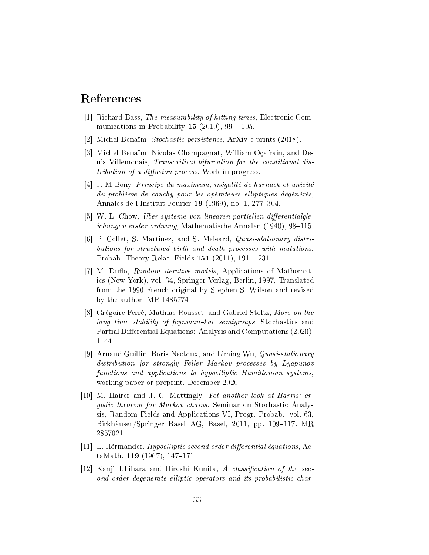# References

- [1] Richard Bass, The measurability of hitting times, Electronic Communications in Probability 15 (2010),  $99 - 105$ .
- [2] Michel Benaïm, Stochastic persistence, ArXiv e-prints (2018).
- [3] Michel Benaïm, Nicolas Champagnat, William Oçafrain, and Denis Villemonais, Transcritical bifurcation for the conditional distribution of a diffusion process. Work in progress.
- [4] J. M Bony, Principe du maximum, inégalité de harnack et unicité du problème de cauchy pour les opérateurs elliptiques dégénérés, Annales de l'Institut Fourier 19 (1969), no. 1, 277-304.
- $[5]$  W.-L. Chow, Uber systeme von linearen partiellen differentialgleichungen erster ordnung, Mathematische Annalen  $(1940)$ , 98-115.
- [6] P. Collet, S. Martinez, and S. Meleard, Quasi-stationary distributions for structured birth and death processes with mutations, Probab. Theory Relat. Fields  $151$  (2011),  $191 - 231$ .
- [7] M. Duflo, Random iterative models, Applications of Mathematics (New York), vol. 34, Springer-Verlag, Berlin, 1997, Translated from the 1990 French original by Stephen S. Wilson and revised by the author. MR 1485774
- [8] Grégoire Ferré, Mathias Rousset, and Gabriel Stoltz, More on the long time stability of feynman-kac semigroups, Stochastics and Partial Differential Equations: Analysis and Computations (2020). 1-44.
- [9] Arnaud Guillin, Boris Nectoux, and Liming Wu, Quasi-stationary distribution for strongly Feller Markov processes by Lyapunov functions and applications to hypoelliptic Hamiltonian systems, working paper or preprint, December 2020.
- [10] M. Hairer and J. C. Mattingly, Yet another look at Harris' ergodic theorem for Markov chains, Seminar on Stochastic Analysis, Random Fields and Applications VI, Progr. Probab., vol. 63, Birkhäuser/Springer Basel AG, Basel, 2011, pp. 109-117. MR 2857021
- $[11]$  L. Hörmander, *Hypoelliptic second order differential équations*, ActaMath. 119 (1967), 147-171.
- [12] Kanji Ichihara and Hiroshi Kunita, A classification of the second order degenerate elliptic operators and its probabilistic char-